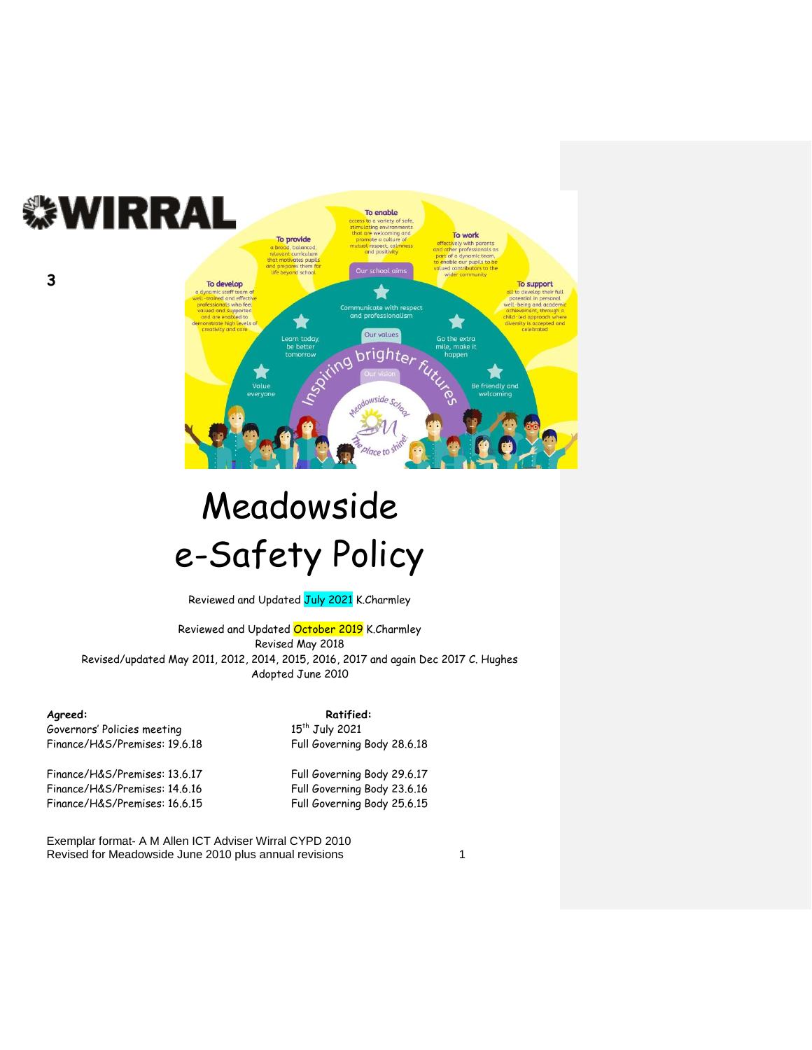

### Meadowside e-Safety Policy

Reviewed and Updated July 2021 K.Charmley

Reviewed and Updated October 2019 K.Charmley Revised May 2018 Revised/updated May 2011, 2012, 2014, 2015, 2016, 2017 and again Dec 2017 C. Hughes Adopted June 2010

**3**

Governors' Policies meeting 15<sup>th</sup> July 2021<br>Finance/H&S/Premises: 19.6.18 Full Governing

Finance/H&S/Premises: 13.6.17 Full Governing Body 29.6.17 Finance/H&S/Premises: 14.6.16 Full Governing Body 23.6.16 Finance/H&S/Premises: 16.6.15 Full Governing Body 25.6.15

Agreed: **Agreed: Ratified: Ratified:** Full Governing Body 28.6.18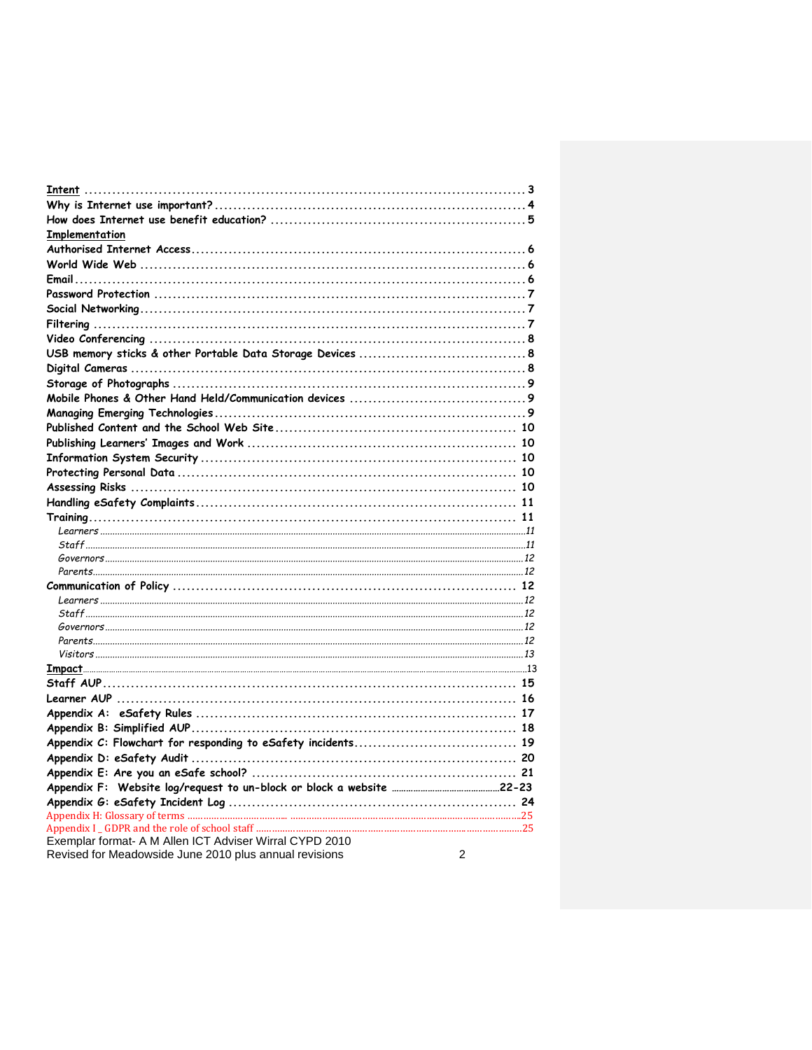| Implementation                                               |   |
|--------------------------------------------------------------|---|
|                                                              |   |
|                                                              |   |
|                                                              |   |
|                                                              |   |
|                                                              |   |
|                                                              |   |
|                                                              |   |
|                                                              |   |
|                                                              |   |
|                                                              |   |
|                                                              |   |
|                                                              |   |
|                                                              |   |
|                                                              |   |
|                                                              |   |
|                                                              |   |
|                                                              |   |
|                                                              |   |
|                                                              |   |
|                                                              |   |
|                                                              |   |
|                                                              |   |
|                                                              |   |
|                                                              |   |
|                                                              |   |
|                                                              |   |
|                                                              |   |
|                                                              |   |
|                                                              |   |
|                                                              |   |
|                                                              |   |
|                                                              |   |
|                                                              |   |
|                                                              |   |
|                                                              |   |
| Appendix C: Flowchart for responding to eSafety incidents 19 |   |
|                                                              |   |
|                                                              |   |
|                                                              |   |
|                                                              |   |
|                                                              |   |
| Exemplar format- A M Allen ICT Adviser Wirral CYPD 2010      |   |
| Revised for Meadowside June 2010 plus annual revisions       | 2 |
|                                                              |   |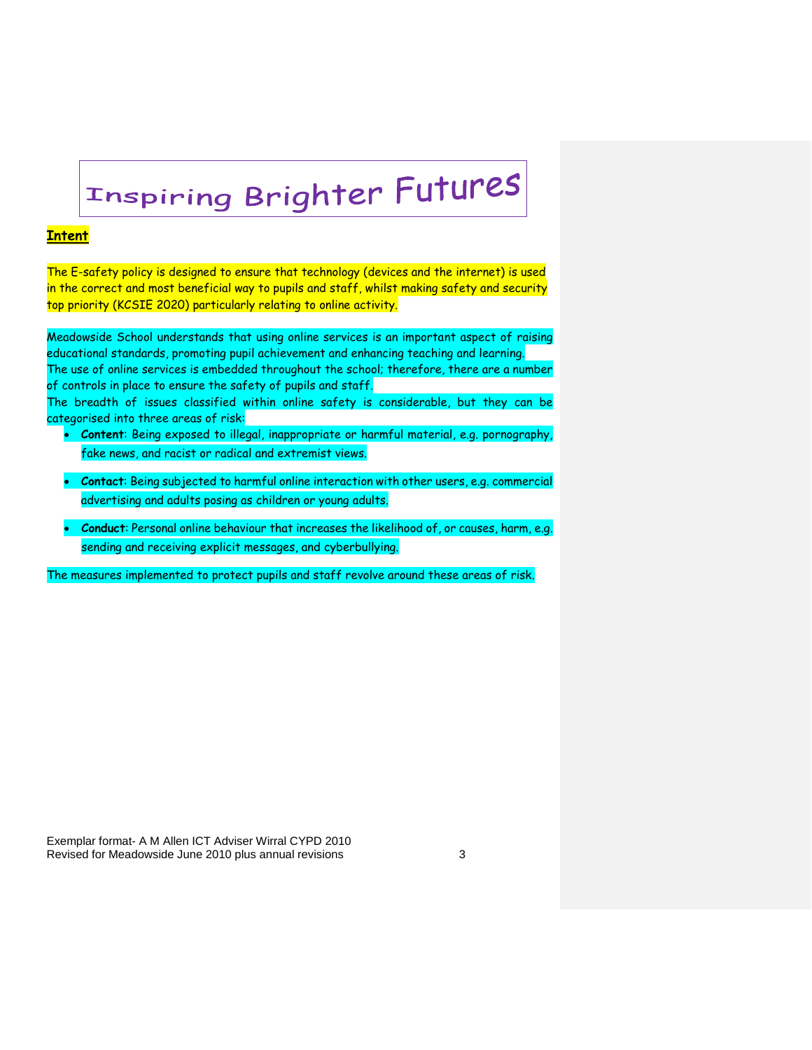## Inspiring Brighter Futures

#### **Intent**

The E-safety policy is designed to ensure that technology (devices and the internet) is used in the correct and most beneficial way to pupils and staff, whilst making safety and security top priority (KCSIE 2020) particularly relating to online activity.

Meadowside School understands that using online services is an important aspect of raising educational standards, promoting pupil achievement and enhancing teaching and learning. The use of online services is embedded throughout the school; therefore, there are a number of controls in place to ensure the safety of pupils and staff.

The breadth of issues classified within online safety is considerable, but they can be categorised into three areas of risk:

- **Content**: Being exposed to illegal, inappropriate or harmful material, e.g. pornography, fake news, and racist or radical and extremist views.
- **Contact**: Being subjected to harmful online interaction with other users, e.g. commercial advertising and adults posing as children or young adults.
- **Conduct**: Personal online behaviour that increases the likelihood of, or causes, harm, e.g. sending and receiving explicit messages, and cyberbullying.

The measures implemented to protect pupils and staff revolve around these areas of risk.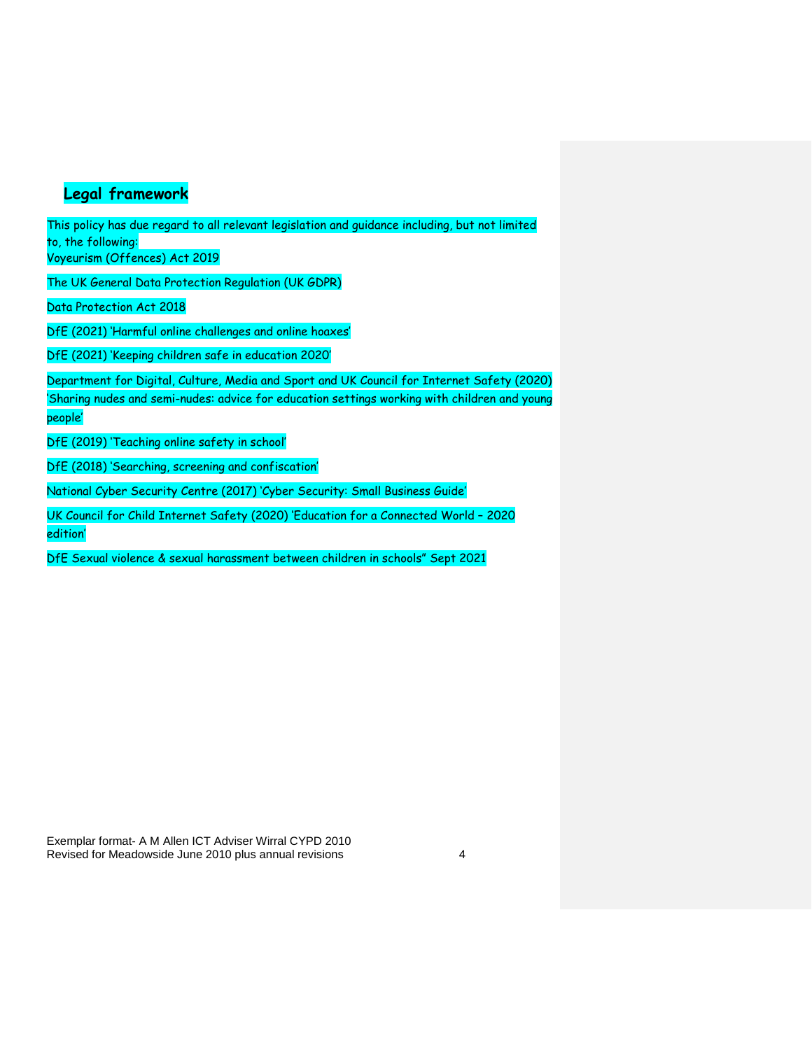#### **Legal framework**

This policy has due regard to all relevant legislation and guidance including, but not limited to, the following:

Voyeurism (Offences) Act 2019

The UK General Data Protection Regulation (UK GDPR)

Data Protection Act 2018

DfE (2021) 'Harmful online challenges and online hoaxes'

DfE (2021) 'Keeping children safe in education 2020'

Department for Digital, Culture, Media and Sport and UK Council for Internet Safety (2020) 'Sharing nudes and semi-nudes: advice for education settings working with children and young people'

DfE (2019) 'Teaching online safety in school'

DfE (2018) 'Searching, screening and confiscation'

National Cyber Security Centre (2017) 'Cyber Security: Small Business Guide'

UK Council for Child Internet Safety (2020) 'Education for a Connected World – 2020 edition'

DfE Sexual violence & sexual harassment between children in schools" Sept 2021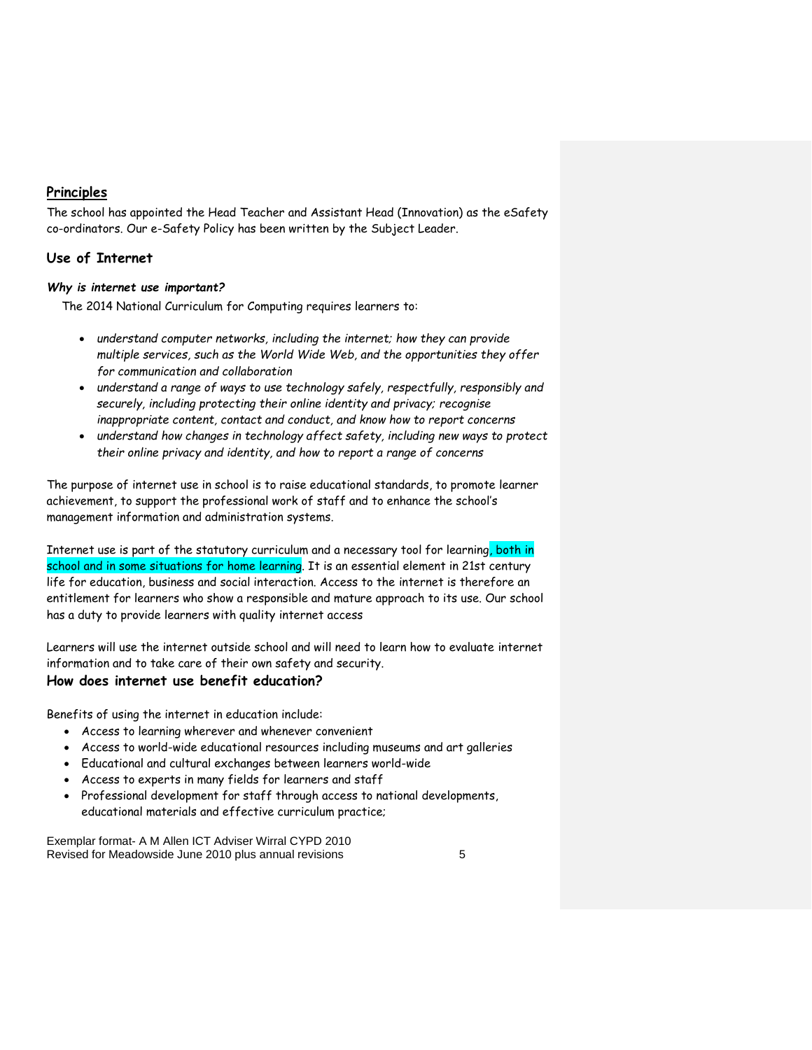#### **Principles**

The school has appointed the Head Teacher and Assistant Head (Innovation) as the eSafety co-ordinators. Our e-Safety Policy has been written by the Subject Leader.

#### **Use of Internet**

#### *Why is internet use important?*

The 2014 National Curriculum for Computing requires learners to:

- *understand computer networks, including the internet; how they can provide multiple services, such as the World Wide Web, and the opportunities they offer for communication and collaboration*
- *understand a range of ways to use technology safely, respectfully, responsibly and securely, including protecting their online identity and privacy; recognise inappropriate content, contact and conduct, and know how to report concerns*
- *understand how changes in technology affect safety, including new ways to protect their online privacy and identity, and how to report a range of concerns*

The purpose of internet use in school is to raise educational standards, to promote learner achievement, to support the professional work of staff and to enhance the school's management information and administration systems.

Internet use is part of the statutory curriculum and a necessary tool for learning, both in school and in some situations for home learning. It is an essential element in 21st century life for education, business and social interaction. Access to the internet is therefore an entitlement for learners who show a responsible and mature approach to its use. Our school has a duty to provide learners with quality internet access

Learners will use the internet outside school and will need to learn how to evaluate internet information and to take care of their own safety and security.

#### **How does internet use benefit education?**

Benefits of using the internet in education include:

- Access to learning wherever and whenever convenient
- Access to world-wide educational resources including museums and art galleries
- Educational and cultural exchanges between learners world-wide
- Access to experts in many fields for learners and staff
- Professional development for staff through access to national developments, educational materials and effective curriculum practice;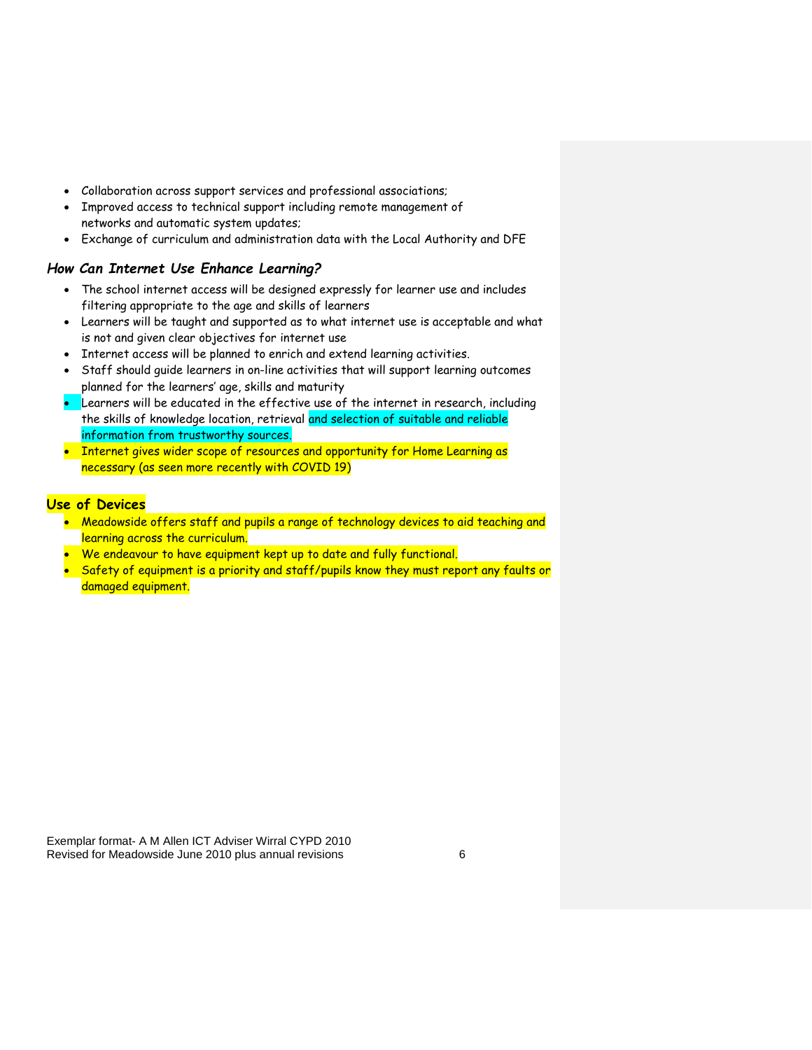- Collaboration across support services and professional associations;
- Improved access to technical support including remote management of networks and automatic system updates;
- Exchange of curriculum and administration data with the Local Authority and DFE

#### *How Can Internet Use Enhance Learning?*

- The school internet access will be designed expressly for learner use and includes filtering appropriate to the age and skills of learners
- Learners will be taught and supported as to what internet use is acceptable and what is not and given clear objectives for internet use
- Internet access will be planned to enrich and extend learning activities.
- Staff should guide learners in on-line activities that will support learning outcomes planned for the learners' age, skills and maturity
- Learners will be educated in the effective use of the internet in research, including the skills of knowledge location, retrieval and selection of suitable and reliable information from trustworthy sources.
- Internet gives wider scope of resources and opportunity for Home Learning as necessary (as seen more recently with COVID 19)

#### **Use of Devices**

- Meadowside offers staff and pupils a range of technology devices to aid teaching and learning across the curriculum.
- We endeavour to have equipment kept up to date and fully functional.
- Safety of equipment is a priority and staff/pupils know they must report any faults or damaged equipment.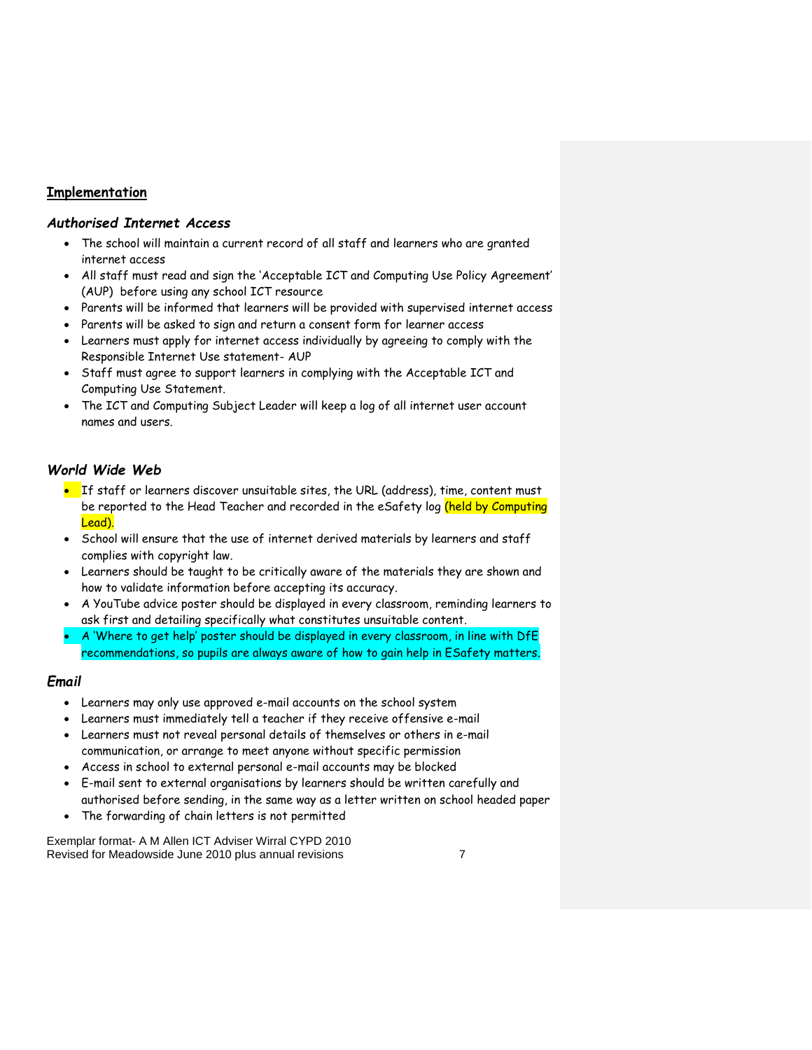#### **Implementation**

#### *Authorised Internet Access*

- The school will maintain a current record of all staff and learners who are granted internet access
- All staff must read and sign the 'Acceptable ICT and Computing Use Policy Agreement' (AUP) before using any school ICT resource
- Parents will be informed that learners will be provided with supervised internet access
- Parents will be asked to sign and return a consent form for learner access
- Learners must apply for internet access individually by agreeing to comply with the Responsible Internet Use statement- AUP
- Staff must agree to support learners in complying with the Acceptable ICT and Computing Use Statement.
- The ICT and Computing Subject Leader will keep a log of all internet user account names and users.

#### *World Wide Web*

- If staff or learners discover unsuitable sites, the URL (address), time, content must be reported to the Head Teacher and recorded in the eSafety log (held by Computing Lead).
- School will ensure that the use of internet derived materials by learners and staff complies with copyright law.
- Learners should be taught to be critically aware of the materials they are shown and how to validate information before accepting its accuracy.
- A YouTube advice poster should be displayed in every classroom, reminding learners to ask first and detailing specifically what constitutes unsuitable content.
- A 'Where to get help' poster should be displayed in every classroom, in line with DfE recommendations, so pupils are always aware of how to gain help in ESafety matters.

#### *Email*

- Learners may only use approved e-mail accounts on the school system
- Learners must immediately tell a teacher if they receive offensive e-mail
- Learners must not reveal personal details of themselves or others in e-mail communication, or arrange to meet anyone without specific permission
- Access in school to external personal e-mail accounts may be blocked
- E-mail sent to external organisations by learners should be written carefully and authorised before sending, in the same way as a letter written on school headed paper
- The forwarding of chain letters is not permitted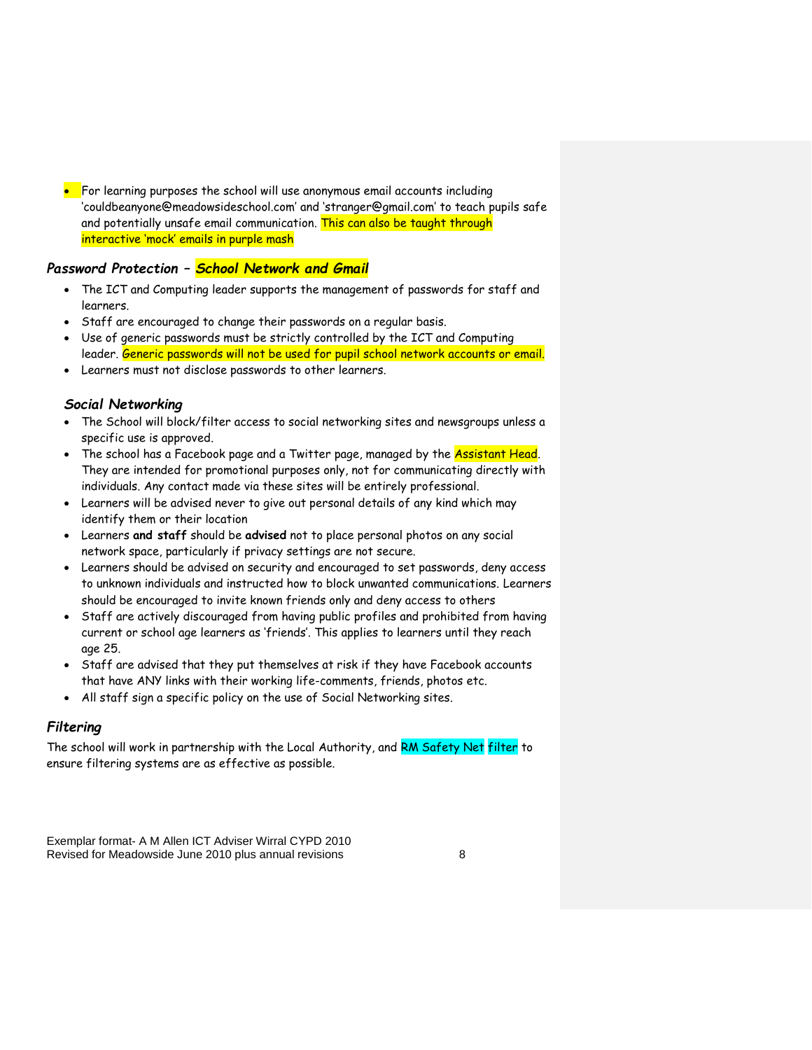For learning purposes the school will use anonymous email accounts including 'couldbeanyone@meadowsideschool.com' and 'stranger@gmail.com' to teach pupils safe and potentially unsafe email communication. This can also be taught through interactive 'mock' emails in purple mash

#### *Password Protection – School Network and Gmail*

- The ICT and Computing leader supports the management of passwords for staff and learners.
- Staff are encouraged to change their passwords on a regular basis.
- Use of generic passwords must be strictly controlled by the ICT and Computing leader. Generic passwords will not be used for pupil school network accounts or email.
- Learners must not disclose passwords to other learners.

#### *Social Networking*

- The School will block/filter access to social networking sites and newsgroups unless a specific use is approved.
- The school has a Facebook page and a Twitter page, managed by the **Assistant Head**. They are intended for promotional purposes only, not for communicating directly with individuals. Any contact made via these sites will be entirely professional.
- Learners will be advised never to give out personal details of any kind which may identify them or their location
- Learners **and staff** should be **advised** not to place personal photos on any social network space, particularly if privacy settings are not secure.
- Learners should be advised on security and encouraged to set passwords, deny access to unknown individuals and instructed how to block unwanted communications. Learners should be encouraged to invite known friends only and deny access to others
- Staff are actively discouraged from having public profiles and prohibited from having current or school age learners as 'friends'. This applies to learners until they reach age 25.
- Staff are advised that they put themselves at risk if they have Facebook accounts that have ANY links with their working life-comments, friends, photos etc.
- All staff sign a specific policy on the use of Social Networking sites.

#### *Filtering*

The school will work in partnership with the Local Authority, and RM Safety Net filter to ensure filtering systems are as effective as possible.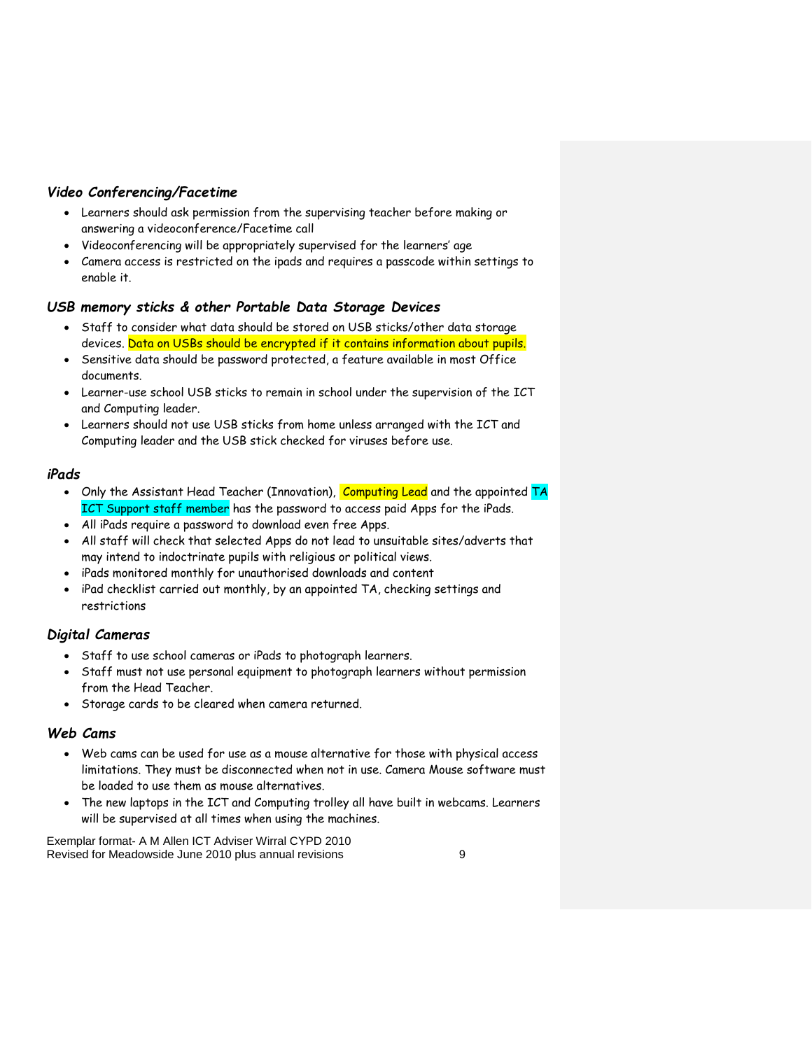#### *Video Conferencing/Facetime*

- Learners should ask permission from the supervising teacher before making or answering a videoconference/Facetime call
- Videoconferencing will be appropriately supervised for the learners' age
- Camera access is restricted on the ipads and requires a passcode within settings to enable it.

#### *USB memory sticks & other Portable Data Storage Devices*

- Staff to consider what data should be stored on USB sticks/other data storage devices. Data on USBs should be encrypted if it contains information about pupils.
- Sensitive data should be password protected, a feature available in most Office documents.
- Learner-use school USB sticks to remain in school under the supervision of the ICT and Computing leader.
- Learners should not use USB sticks from home unless arranged with the ICT and Computing leader and the USB stick checked for viruses before use.

#### *iPads*

- Only the Assistant Head Teacher (Innovation), Computing Lead and the appointed TA ICT Support staff member has the password to access paid Apps for the iPads.
- All iPads require a password to download even free Apps.
- All staff will check that selected Apps do not lead to unsuitable sites/adverts that may intend to indoctrinate pupils with religious or political views.
- iPads monitored monthly for unauthorised downloads and content
- iPad checklist carried out monthly, by an appointed TA, checking settings and restrictions

#### *Digital Cameras*

- Staff to use school cameras or iPads to photograph learners.
- Staff must not use personal equipment to photograph learners without permission from the Head Teacher.
- Storage cards to be cleared when camera returned.

#### *Web Cams*

- Web cams can be used for use as a mouse alternative for those with physical access limitations. They must be disconnected when not in use. Camera Mouse software must be loaded to use them as mouse alternatives.
- The new laptops in the ICT and Computing trolley all have built in webcams. Learners will be supervised at all times when using the machines.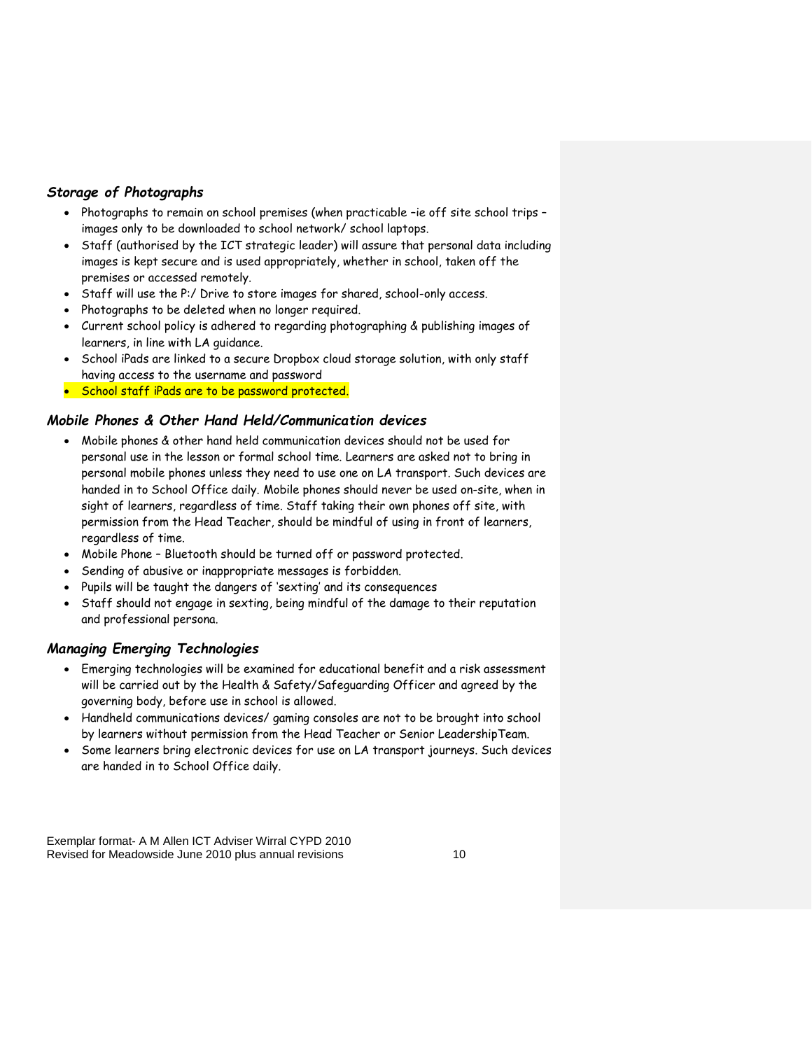#### *Storage of Photographs*

- Photographs to remain on school premises (when practicable -ie off site school trips images only to be downloaded to school network/ school laptops.
- Staff (authorised by the ICT strategic leader) will assure that personal data including images is kept secure and is used appropriately, whether in school, taken off the premises or accessed remotely.
- Staff will use the P:/ Drive to store images for shared, school-only access.
- Photographs to be deleted when no longer required.
- Current school policy is adhered to regarding photographing & publishing images of learners, in line with LA guidance.
- School iPads are linked to a secure Dropbox cloud storage solution, with only staff having access to the username and password
- School staff iPads are to be password protected.

#### *Mobile Phones & Other Hand Held/Communication devices*

- Mobile phones & other hand held communication devices should not be used for personal use in the lesson or formal school time. Learners are asked not to bring in personal mobile phones unless they need to use one on LA transport. Such devices are handed in to School Office daily. Mobile phones should never be used on-site, when in sight of learners, regardless of time. Staff taking their own phones off site, with permission from the Head Teacher, should be mindful of using in front of learners, regardless of time.
- Mobile Phone Bluetooth should be turned off or password protected.
- Sending of abusive or inappropriate messages is forbidden.
- Pupils will be taught the dangers of 'sexting' and its consequences
- Staff should not engage in sexting, being mindful of the damage to their reputation and professional persona.

#### *Managing Emerging Technologies*

- Emerging technologies will be examined for educational benefit and a risk assessment will be carried out by the Health & Safety/Safeguarding Officer and agreed by the governing body, before use in school is allowed.
- Handheld communications devices/ gaming consoles are not to be brought into school by learners without permission from the Head Teacher or Senior LeadershipTeam.
- Some learners bring electronic devices for use on LA transport journeys. Such devices are handed in to School Office daily.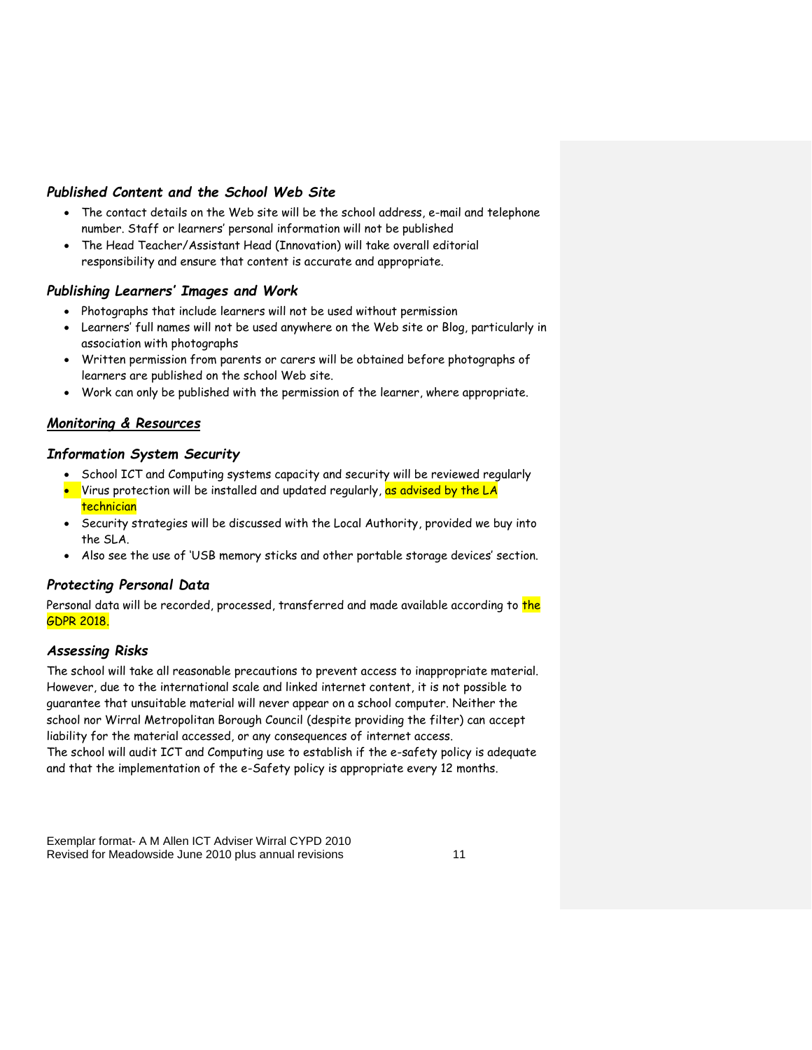#### *Published Content and the School Web Site*

- The contact details on the Web site will be the school address, e-mail and telephone number. Staff or learners' personal information will not be published
- The Head Teacher/Assistant Head (Innovation) will take overall editorial responsibility and ensure that content is accurate and appropriate.

#### *Publishing Learners' Images and Work*

- Photographs that include learners will not be used without permission
- Learners' full names will not be used anywhere on the Web site or Blog, particularly in association with photographs
- Written permission from parents or carers will be obtained before photographs of learners are published on the school Web site.
- Work can only be published with the permission of the learner, where appropriate.

#### *Monitoring & Resources*

#### *Information System Security*

- School ICT and Computing systems capacity and security will be reviewed regularly
- $\bullet$  Virus protection will be installed and updated regularly, <mark>as advised by the LA</mark> technician
- Security strategies will be discussed with the Local Authority, provided we buy into the SLA.
- Also see the use of 'USB memory sticks and other portable storage devices' section.

#### *Protecting Personal Data*

Personal data will be recorded, processed, transferred and made available according to the GDPR 2018.

#### *Assessing Risks*

The school will take all reasonable precautions to prevent access to inappropriate material. However, due to the international scale and linked internet content, it is not possible to guarantee that unsuitable material will never appear on a school computer. Neither the school nor Wirral Metropolitan Borough Council (despite providing the filter) can accept liability for the material accessed, or any consequences of internet access.

The school will audit ICT and Computing use to establish if the e-safety policy is adequate and that the implementation of the e-Safety policy is appropriate every 12 months.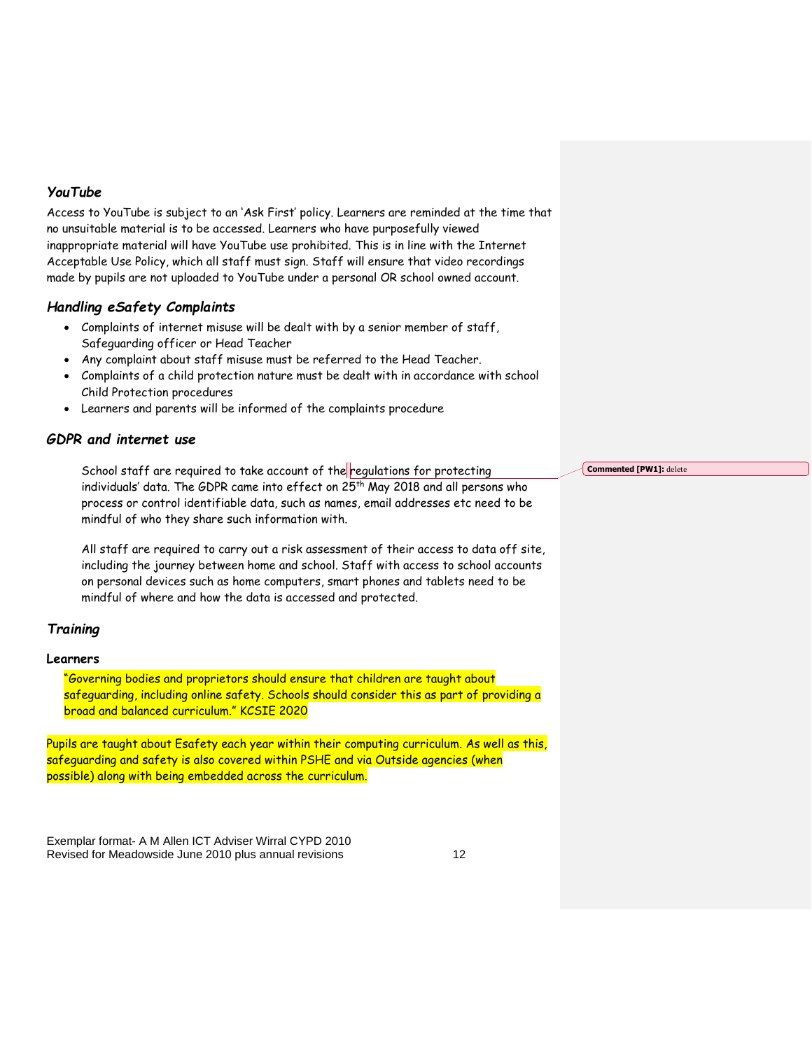#### *YouTube*

Access to YouTube is subject to an 'Ask First' policy. Learners are reminded at the time that no unsuitable material is to be accessed. Learners who have purposefully viewed inappropriate material will have YouTube use prohibited. This is in line with the Internet Acceptable Use Policy, which all staff must sign. Staff will ensure that video recordings made by pupils are not uploaded to YouTube under a personal OR school owned account.

#### *Handling eSafety Complaints*

- Complaints of internet misuse will be dealt with by a senior member of staff, Safeguarding officer or Head Teacher
- Any complaint about staff misuse must be referred to the Head Teacher.
- Complaints of a child protection nature must be dealt with in accordance with school Child Protection procedures
- Learners and parents will be informed of the complaints procedure

#### *GDPR and internet use*

School staff are required to take account of the regulations for protecting individuals' data. The GDPR came into effect on 25<sup>th</sup> May 2018 and all persons who process or control identifiable data, such as names, email addresses etc need to be mindful of who they share such information with.

All staff are required to carry out a risk assessment of their access to data off site, including the journey between home and school. Staff with access to school accounts on personal devices such as home computers, smart phones and tablets need to be mindful of where and how the data is accessed and protected.

#### *Training*

#### **Learners**

"Governing bodies and proprietors should ensure that children are taught about safeguarding, including online safety. Schools should consider this as part of providing a broad and balanced curriculum." KCSIE 2020

Pupils are taught about Esafety each year within their computing curriculum. As well as this, safeguarding and safety is also covered within PSHE and via Outside agencies (when possible) along with being embedded across the curriculum.

Exemplar format- A M Allen ICT Adviser Wirral CYPD 2010 Revised for Meadowside June 2010 plus annual revisions 12 **Commented [PW1]:** delete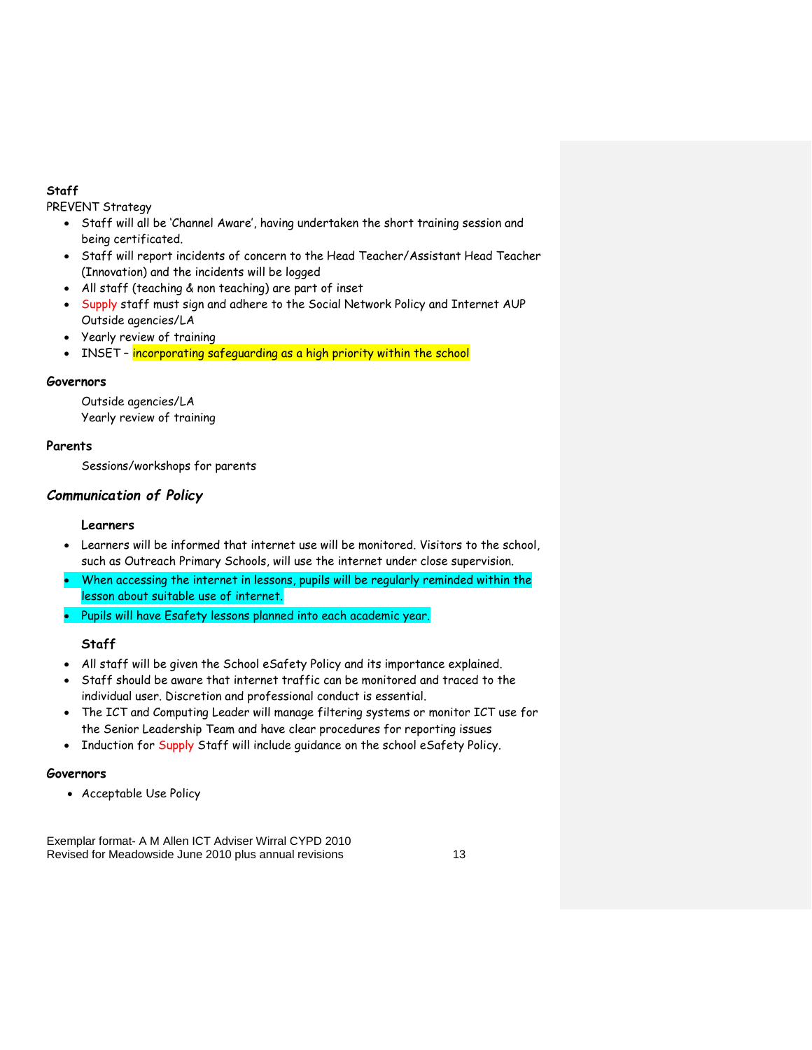#### **Staff**

PREVENT Strategy

- Staff will all be 'Channel Aware', having undertaken the short training session and being certificated.
- Staff will report incidents of concern to the Head Teacher/Assistant Head Teacher (Innovation) and the incidents will be logged
- All staff (teaching & non teaching) are part of inset
- Supply staff must sign and adhere to the Social Network Policy and Internet AUP Outside agencies/LA
- Yearly review of training
- INSET incorporating safeguarding as a high priority within the school

#### **Governors**

Outside agencies/LA Yearly review of training

#### **Parents**

Sessions/workshops for parents

#### *Communication of Policy*

#### **Learners**

- Learners will be informed that internet use will be monitored. Visitors to the school, such as Outreach Primary Schools, will use the internet under close supervision.
- When accessing the internet in lessons, pupils will be regularly reminded within the lesson about suitable use of internet.
- Pupils will have Esafety lessons planned into each academic year.

#### **Staff**

- All staff will be given the School eSafety Policy and its importance explained.
- Staff should be aware that internet traffic can be monitored and traced to the individual user. Discretion and professional conduct is essential.
- The ICT and Computing Leader will manage filtering systems or monitor ICT use for the Senior Leadership Team and have clear procedures for reporting issues
- Induction for Supply Staff will include guidance on the school eSafety Policy.

#### **Governors**

Acceptable Use Policy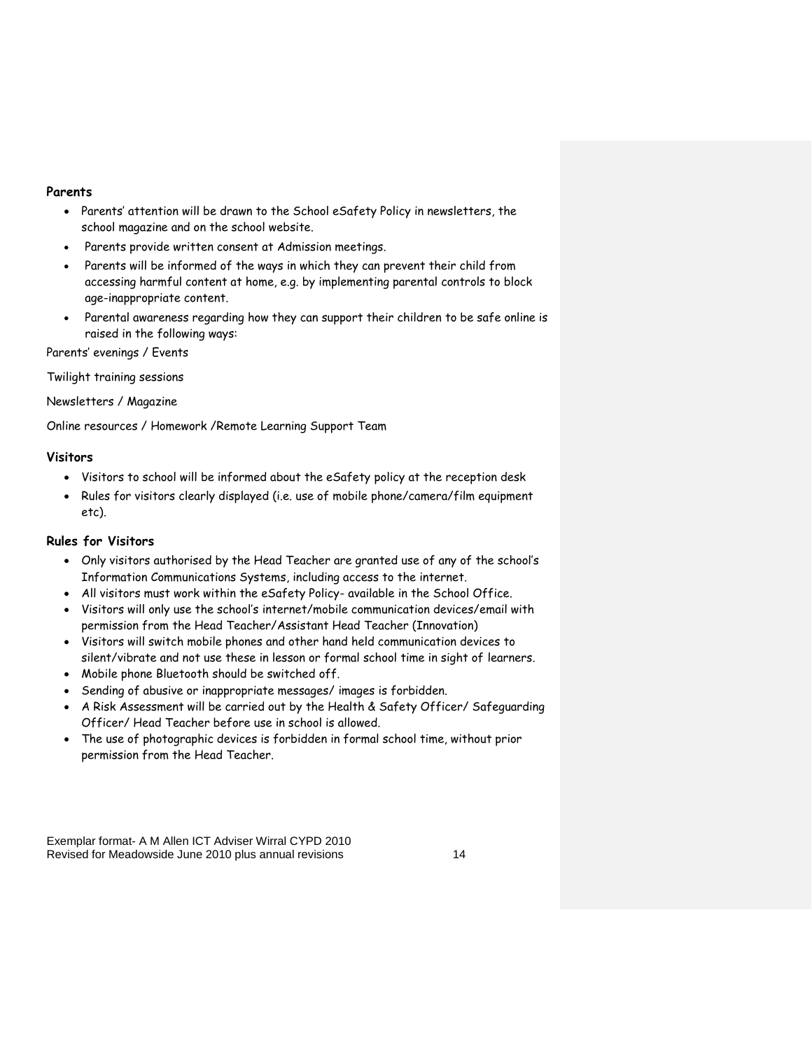#### **Parents**

- Parents' attention will be drawn to the School eSafety Policy in newsletters, the school magazine and on the school website.
- Parents provide written consent at Admission meetings.
- Parents will be informed of the ways in which they can prevent their child from accessing harmful content at home, e.g. by implementing parental controls to block age-inappropriate content.
- Parental awareness regarding how they can support their children to be safe online is raised in the following ways:

Parents' evenings / Events

Twilight training sessions

Newsletters / Magazine

Online resources / Homework /Remote Learning Support Team

#### **Visitors**

- Visitors to school will be informed about the eSafety policy at the reception desk
- Rules for visitors clearly displayed (i.e. use of mobile phone/camera/film equipment etc).

#### **Rules for Visitors**

- Only visitors authorised by the Head Teacher are granted use of any of the school's Information Communications Systems, including access to the internet.
- All visitors must work within the eSafety Policy- available in the School Office.
- Visitors will only use the school's internet/mobile communication devices/email with permission from the Head Teacher/Assistant Head Teacher (Innovation)
- Visitors will switch mobile phones and other hand held communication devices to silent/vibrate and not use these in lesson or formal school time in sight of learners.
- Mobile phone Bluetooth should be switched off.
- Sending of abusive or inappropriate messages/ images is forbidden.
- A Risk Assessment will be carried out by the Health & Safety Officer/ Safeguarding Officer/ Head Teacher before use in school is allowed.
- The use of photographic devices is forbidden in formal school time, without prior permission from the Head Teacher.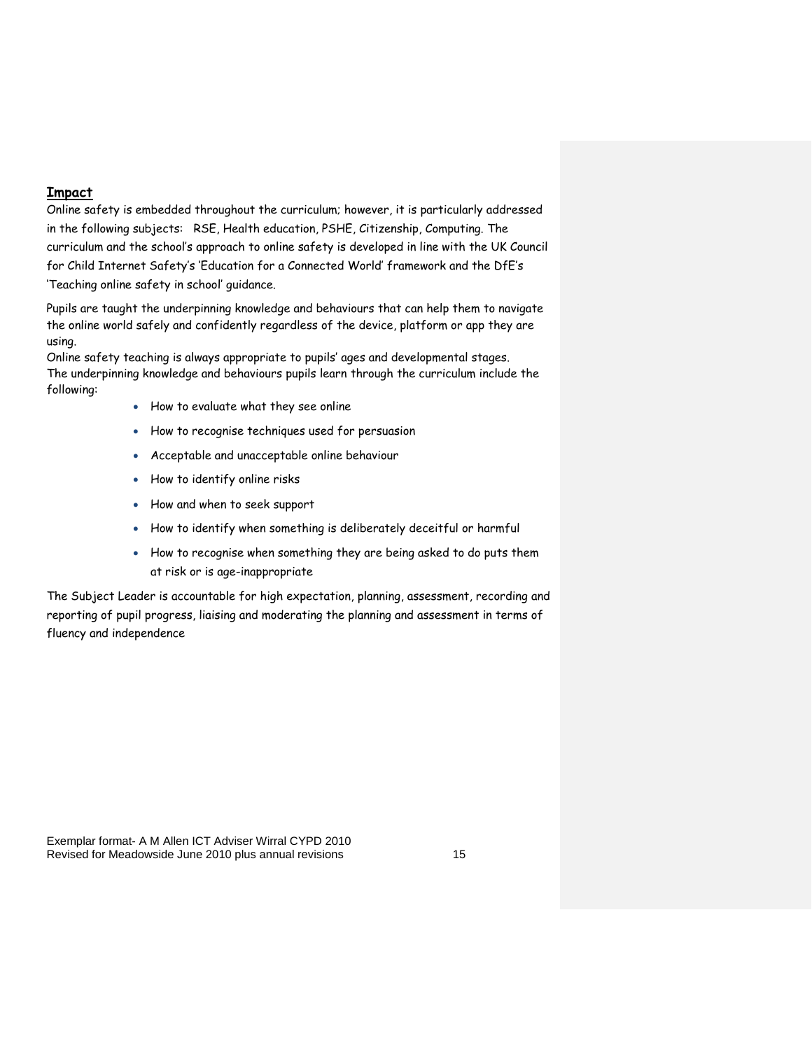#### **Impact**

Online safety is embedded throughout the curriculum; however, it is particularly addressed in the following subjects: RSE, Health education, PSHE, Citizenship, Computing. The curriculum and the school's approach to online safety is developed in line with the UK Council for Child Internet Safety's 'Education for a Connected World' framework and the DfE's 'Teaching online safety in school' guidance.

Pupils are taught the underpinning knowledge and behaviours that can help them to navigate the online world safely and confidently regardless of the device, platform or app they are using.

Online safety teaching is always appropriate to pupils' ages and developmental stages. The underpinning knowledge and behaviours pupils learn through the curriculum include the following:

- How to evaluate what they see online
- How to recognise techniques used for persuasion
- Acceptable and unacceptable online behaviour
- How to identify online risks
- How and when to seek support
- How to identify when something is deliberately deceitful or harmful
- How to recognise when something they are being asked to do puts them at risk or is age-inappropriate

The Subject Leader is accountable for high expectation, planning, assessment, recording and reporting of pupil progress, liaising and moderating the planning and assessment in terms of fluency and independence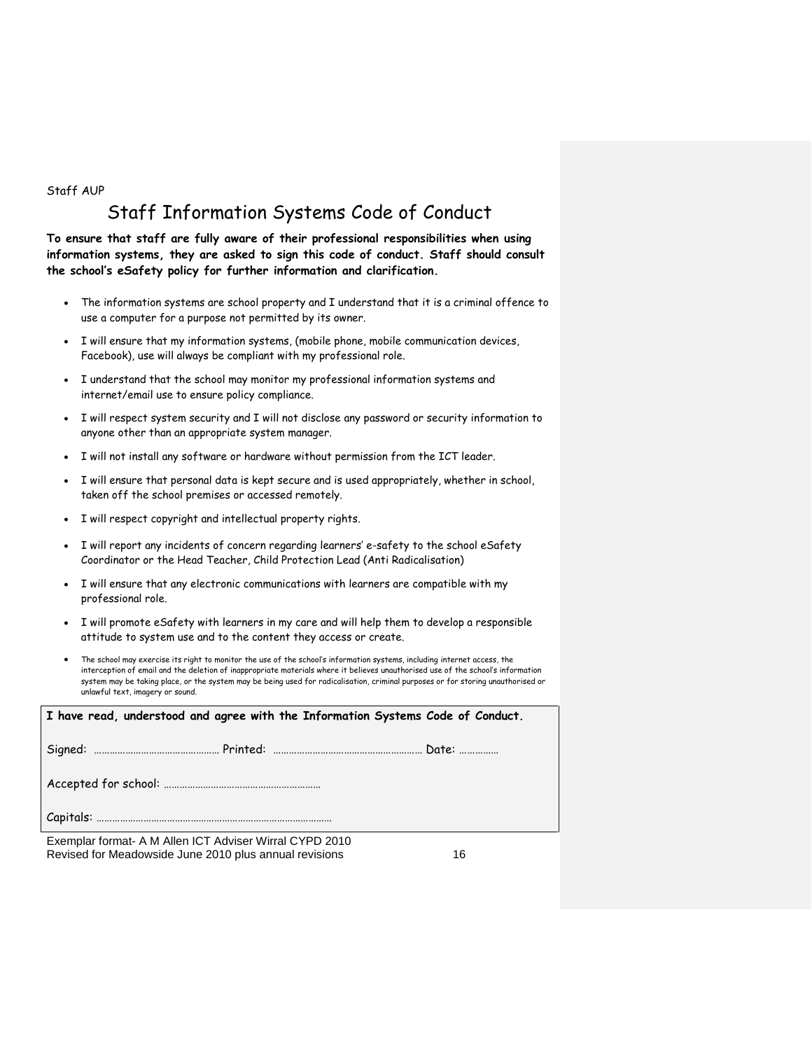Staff AUP

### Staff Information Systems Code of Conduct

**To ensure that staff are fully aware of their professional responsibilities when using information systems, they are asked to sign this code of conduct. Staff should consult the school's eSafety policy for further information and clarification.** 

- The information systems are school property and I understand that it is a criminal offence to use a computer for a purpose not permitted by its owner.
- I will ensure that my information systems, (mobile phone, mobile communication devices, Facebook), use will always be compliant with my professional role.
- I understand that the school may monitor my professional information systems and internet/email use to ensure policy compliance.
- I will respect system security and I will not disclose any password or security information to anyone other than an appropriate system manager.
- I will not install any software or hardware without permission from the ICT leader.
- I will ensure that personal data is kept secure and is used appropriately, whether in school, taken off the school premises or accessed remotely.
- I will respect copyright and intellectual property rights.
- I will report any incidents of concern regarding learners' e-safety to the school eSafety Coordinator or the Head Teacher, Child Protection Lead (Anti Radicalisation)
- I will ensure that any electronic communications with learners are compatible with my professional role.
- I will promote eSafety with learners in my care and will help them to develop a responsible attitude to system use and to the content they access or create.
- The school may exercise its right to monitor the use of the school's information systems, including internet access, the interception of email and the deletion of inappropriate materials where it believes unauthorised use of the school's information system may be taking place, or the system may be being used for radicalisation, criminal purposes or for storing unauthorised or unlawful text, imagery or sound.

| $\mid$ I have read, understood and agree with the Information Systems Code of Conduct. |  |
|----------------------------------------------------------------------------------------|--|
|                                                                                        |  |
|                                                                                        |  |
|                                                                                        |  |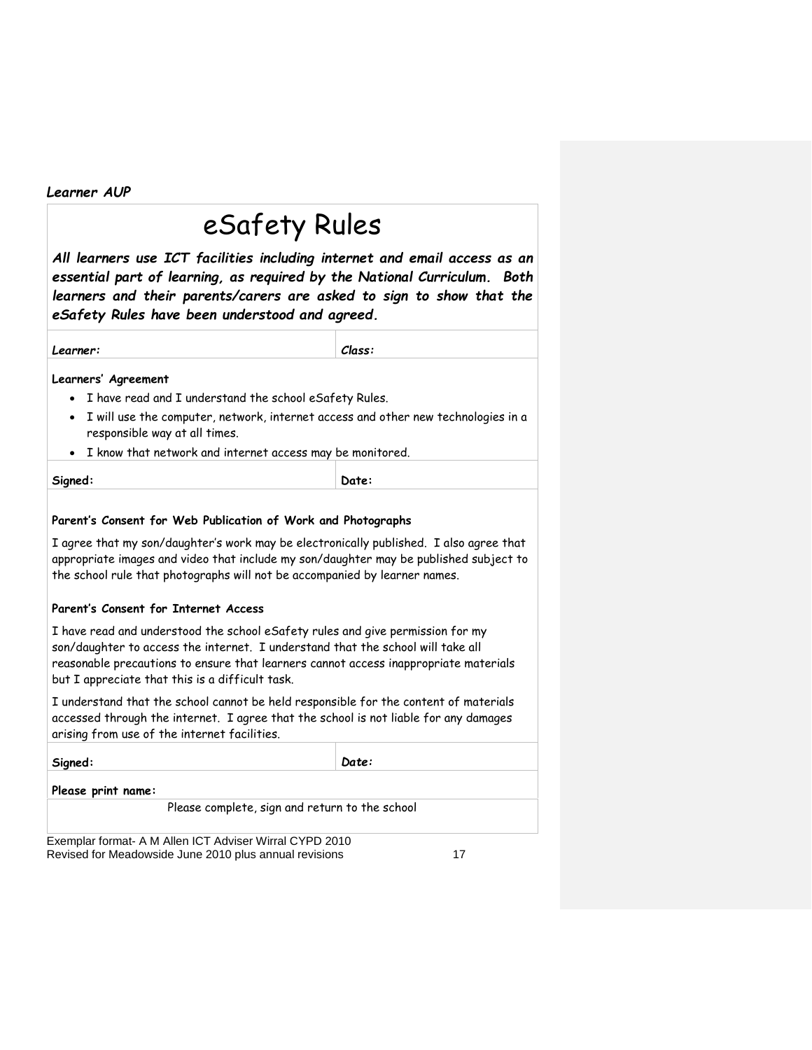*Learner AUP*

### eSafety Rules

*All learners use ICT facilities including internet and email access as an essential part of learning, as required by the National Curriculum. Both learners and their parents/carers are asked to sign to show that the eSafety Rules have been understood and agreed.*

#### **Learners' Agreement**

- I have read and I understand the school eSafety Rules.
- I will use the computer, network, internet access and other new technologies in a responsible way at all times.
- I know that network and internet access may be monitored.

**Signed: Date:** 

#### **Parent's Consent for Web Publication of Work and Photographs**

I agree that my son/daughter's work may be electronically published. I also agree that appropriate images and video that include my son/daughter may be published subject to the school rule that photographs will not be accompanied by learner names.

#### **Parent's Consent for Internet Access**

I have read and understood the school eSafety rules and give permission for my son/daughter to access the internet. I understand that the school will take all reasonable precautions to ensure that learners cannot access inappropriate materials but I appreciate that this is a difficult task.

I understand that the school cannot be held responsible for the content of materials accessed through the internet. I agree that the school is not liable for any damages arising from use of the internet facilities.

| Signed:                                                                | Date: |
|------------------------------------------------------------------------|-------|
| Please print name:                                                     |       |
| Please complete, sign and return to the school                         |       |
| .<br>.<br>$\sim$ $\sim$ $\sim$ $\sim$ $\sim$ $\sim$ $\sim$ $\sim$<br>. |       |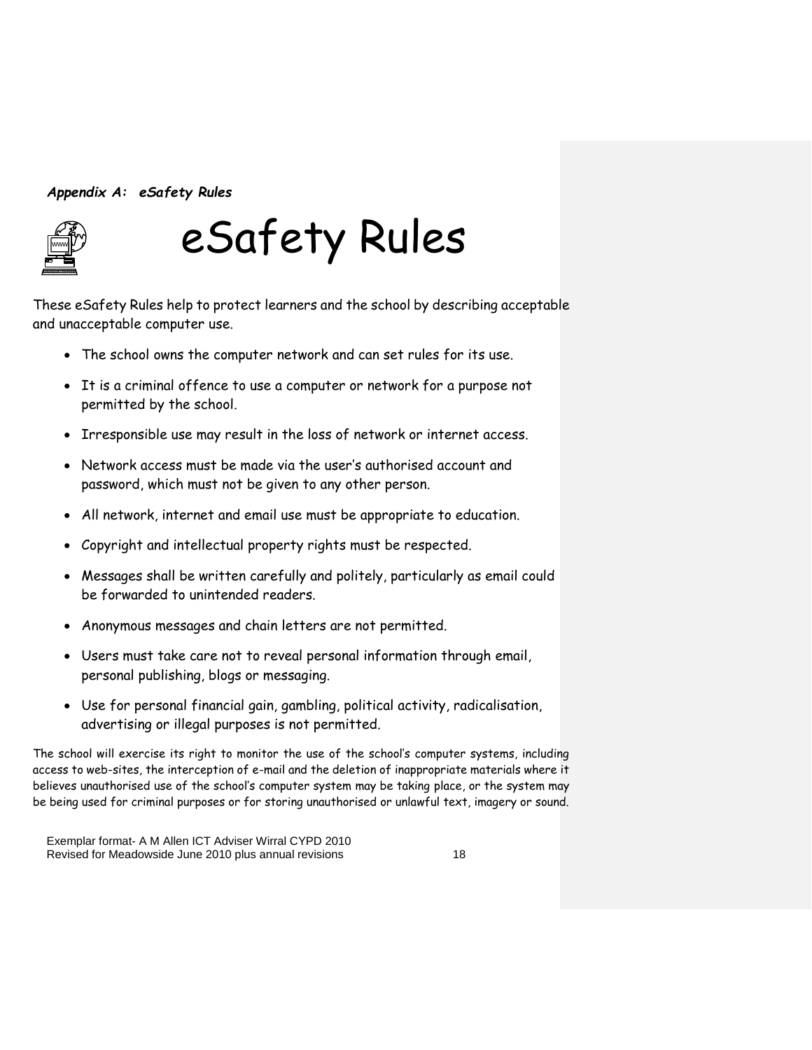#### *Appendix A: eSafety Rules*



# eSafety Rules

These eSafety Rules help to protect learners and the school by describing acceptable and unacceptable computer use.

- The school owns the computer network and can set rules for its use.
- It is a criminal offence to use a computer or network for a purpose not permitted by the school.
- Irresponsible use may result in the loss of network or internet access.
- Network access must be made via the user's authorised account and password, which must not be given to any other person.
- All network, internet and email use must be appropriate to education.
- Copyright and intellectual property rights must be respected.
- Messages shall be written carefully and politely, particularly as email could be forwarded to unintended readers.
- Anonymous messages and chain letters are not permitted.
- Users must take care not to reveal personal information through email, personal publishing, blogs or messaging.
- Use for personal financial gain, gambling, political activity, radicalisation, advertising or illegal purposes is not permitted.

The school will exercise its right to monitor the use of the school's computer systems, including access to web-sites, the interception of e-mail and the deletion of inappropriate materials where it believes unauthorised use of the school's computer system may be taking place, or the system may be being used for criminal purposes or for storing unauthorised or unlawful text, imagery or sound.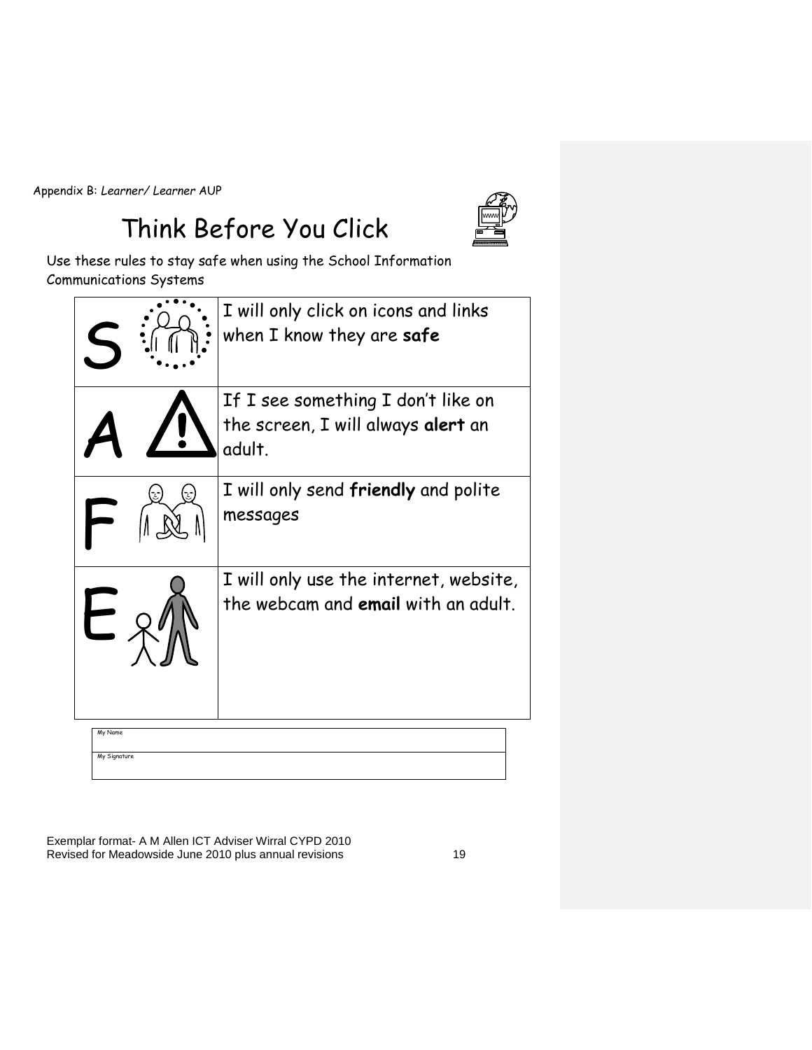Appendix B: *Learner/ Learner* AUP

### Think Before You Click



Use these rules to stay safe when using the School Information Communications Systems

|                         | I will only click on icons and links<br>when I know they are safe                  |
|-------------------------|------------------------------------------------------------------------------------|
|                         | If I see something I don't like on<br>the screen, I will always alert an<br>adult. |
|                         | I will only send <b>friendly</b> and polite<br>messages                            |
|                         | I will only use the internet, website,<br>the webcam and email with an adult.      |
| My Name<br>My Signature |                                                                                    |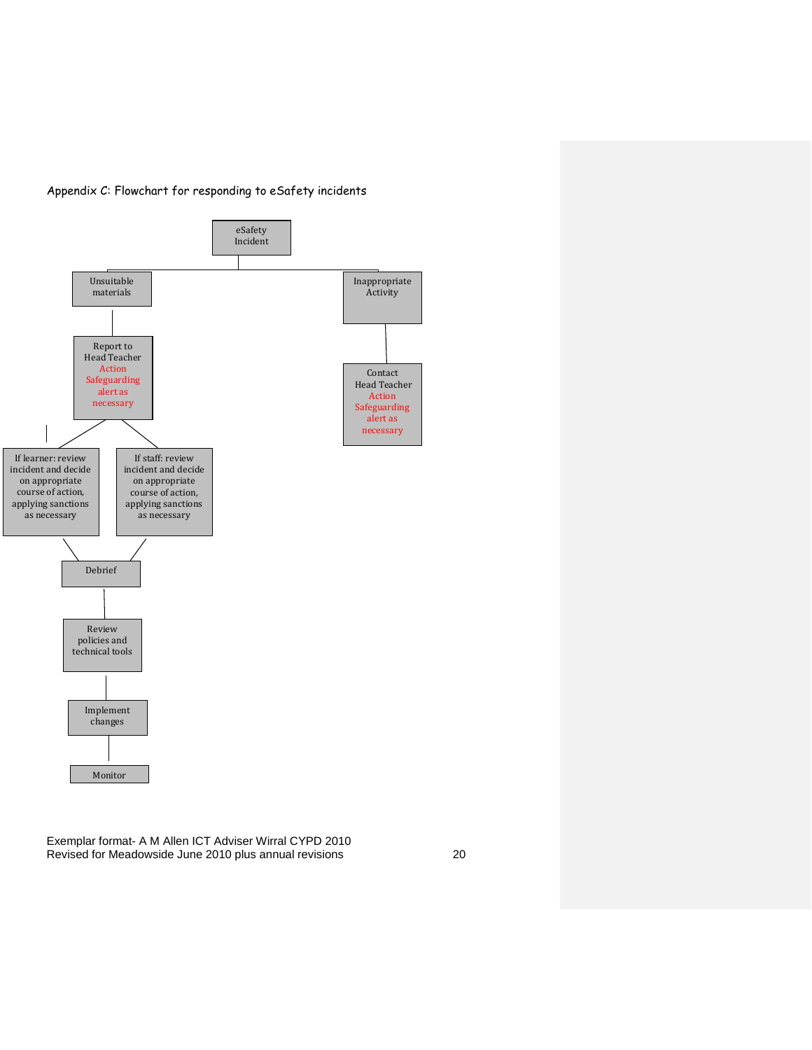

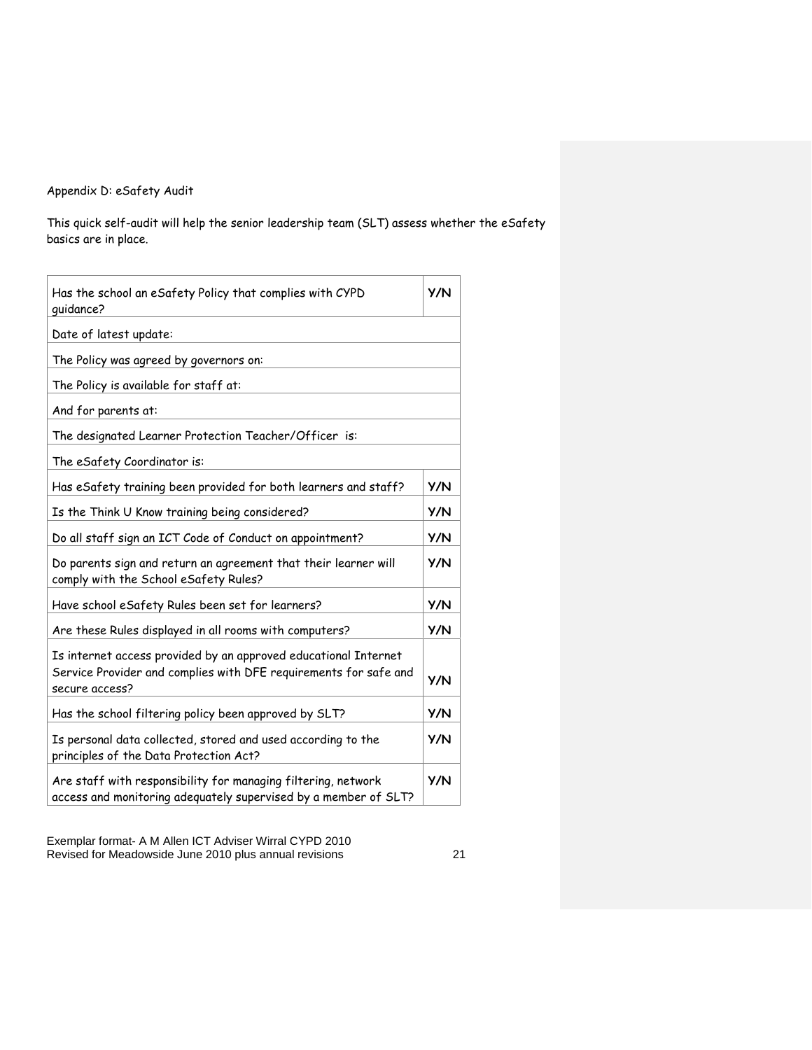#### Appendix D: eSafety Audit

This quick self-audit will help the senior leadership team (SLT) assess whether the eSafety basics are in place.

| Has the school an eSafety Policy that complies with CYPD<br>quidance?                                                                                 | <b>Y/N</b> |
|-------------------------------------------------------------------------------------------------------------------------------------------------------|------------|
| Date of latest update:                                                                                                                                |            |
| The Policy was agreed by governors on:                                                                                                                |            |
| The Policy is available for staff at:                                                                                                                 |            |
| And for parents at:                                                                                                                                   |            |
| The designated Learner Protection Teacher/Officer is:                                                                                                 |            |
| The eSafety Coordinator is:                                                                                                                           |            |
| Has eSafety training been provided for both learners and staff?                                                                                       | <b>Y/N</b> |
| Is the Think U Know training being considered?                                                                                                        | <b>Y/N</b> |
| Do all staff sign an ICT Code of Conduct on appointment?                                                                                              | <b>Y/N</b> |
| Do parents sign and return an agreement that their learner will<br>comply with the School eSafety Rules?                                              | Y/N        |
| Have school eSafety Rules been set for learners?                                                                                                      | <b>Y/N</b> |
| Are these Rules displayed in all rooms with computers?                                                                                                | Y/N        |
| Is internet access provided by an approved educational Internet<br>Service Provider and complies with DFE requirements for safe and<br>secure access? | <b>Y/N</b> |
| Has the school filtering policy been approved by SLT?                                                                                                 | <b>Y/N</b> |
| Is personal data collected, stored and used according to the<br>principles of the Data Protection Act?                                                | <b>Y/N</b> |
| Are staff with responsibility for managing filtering, network<br>access and monitoring adequately supervised by a member of SLT?                      | <b>Y/N</b> |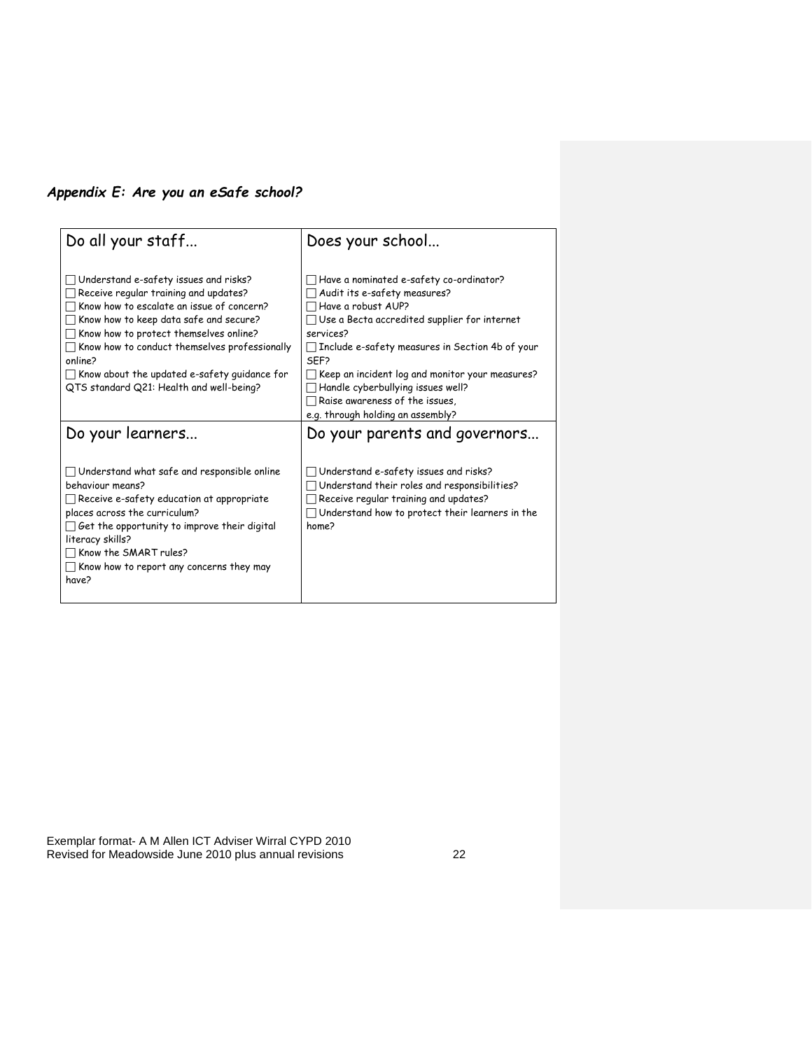#### *Appendix E: Are you an eSafe school?*

| Do all your staff                                                                                                                                                                                                                                                                                                                                                              | Does your school                                                                                                                                                                                                                                                                                                                                                                                                             |
|--------------------------------------------------------------------------------------------------------------------------------------------------------------------------------------------------------------------------------------------------------------------------------------------------------------------------------------------------------------------------------|------------------------------------------------------------------------------------------------------------------------------------------------------------------------------------------------------------------------------------------------------------------------------------------------------------------------------------------------------------------------------------------------------------------------------|
| Understand e-safety issues and risks?<br>Receive regular training and updates?<br>Know how to escalate an issue of concern?<br>Know how to keep data safe and secure?<br>Know how to protect themselves online?<br>Know how to conduct themselves professionally<br>online?<br>$\Box$ Know about the updated e-safety guidance for<br>QTS standard Q21: Health and well-being? | Have a nominated e-safety co-ordinator?<br>Audit its e-safety measures?<br>Have a robust AUP?<br>$\Box$ Use a Becta accredited supplier for internet<br>services?<br>$\Box$ Include e-safety measures in Section 4b of your<br>SFF <sub>2</sub><br>$\Box$ Keep an incident log and monitor your measures?<br>Handle cyberbullying issues well?<br>$\Box$ Raise awareness of the issues,<br>e.g. through holding an assembly? |
| Do your learners                                                                                                                                                                                                                                                                                                                                                               | Do your parents and governors                                                                                                                                                                                                                                                                                                                                                                                                |
| $\Box$ Understand what safe and responsible online<br>behaviour means?<br>Receive e-safety education at appropriate<br>places across the curriculum?<br>Get the opportunity to improve their digital<br>literacy skills?<br>Know the SMART rules?<br>Know how to report any concerns they may<br>have?                                                                         | Understand e-safety issues and risks?<br>Understand their roles and responsibilities?<br>Receive regular training and updates?<br>$\Box$ Understand how to protect their learners in the<br>home?                                                                                                                                                                                                                            |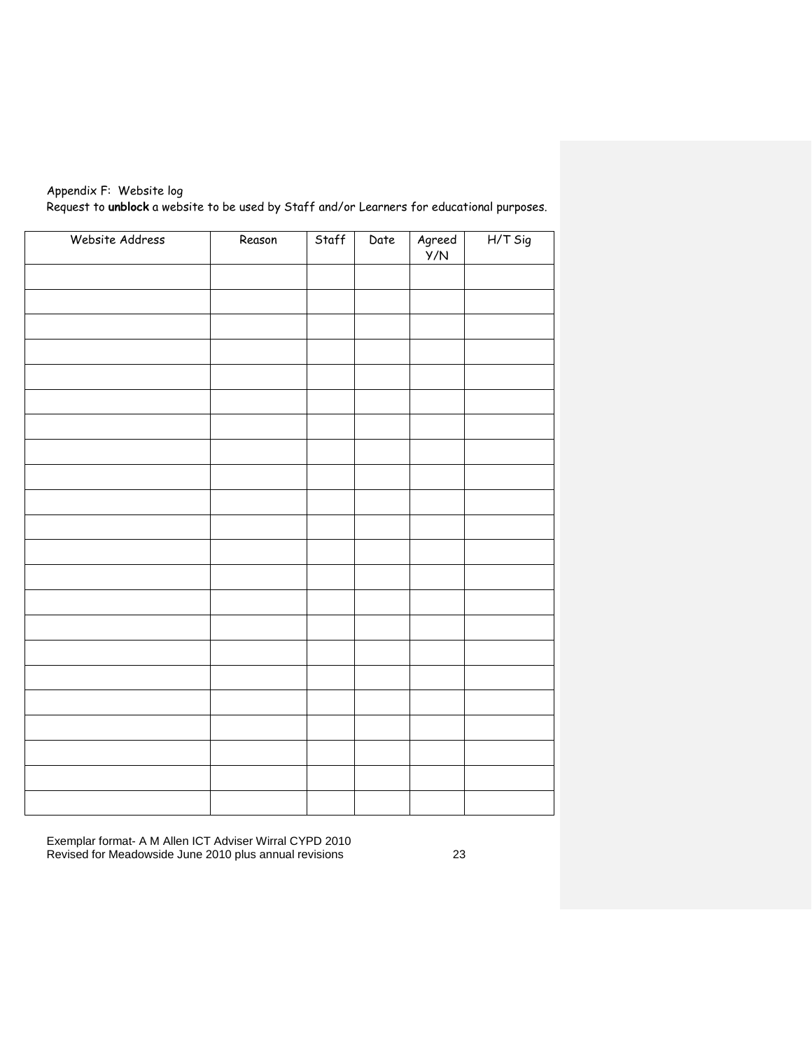| Appendix F: Website log                                                                    |  |
|--------------------------------------------------------------------------------------------|--|
| Request to unblock a website to be used by Staff and/or Learners for educational purposes. |  |

| Website Address | Reason | Staff | Date | Agreed<br>Y/N | $H/T$ Sig |
|-----------------|--------|-------|------|---------------|-----------|
|                 |        |       |      |               |           |
|                 |        |       |      |               |           |
|                 |        |       |      |               |           |
|                 |        |       |      |               |           |
|                 |        |       |      |               |           |
|                 |        |       |      |               |           |
|                 |        |       |      |               |           |
|                 |        |       |      |               |           |
|                 |        |       |      |               |           |
|                 |        |       |      |               |           |
|                 |        |       |      |               |           |
|                 |        |       |      |               |           |
|                 |        |       |      |               |           |
|                 |        |       |      |               |           |
|                 |        |       |      |               |           |
|                 |        |       |      |               |           |
|                 |        |       |      |               |           |
|                 |        |       |      |               |           |
|                 |        |       |      |               |           |
|                 |        |       |      |               |           |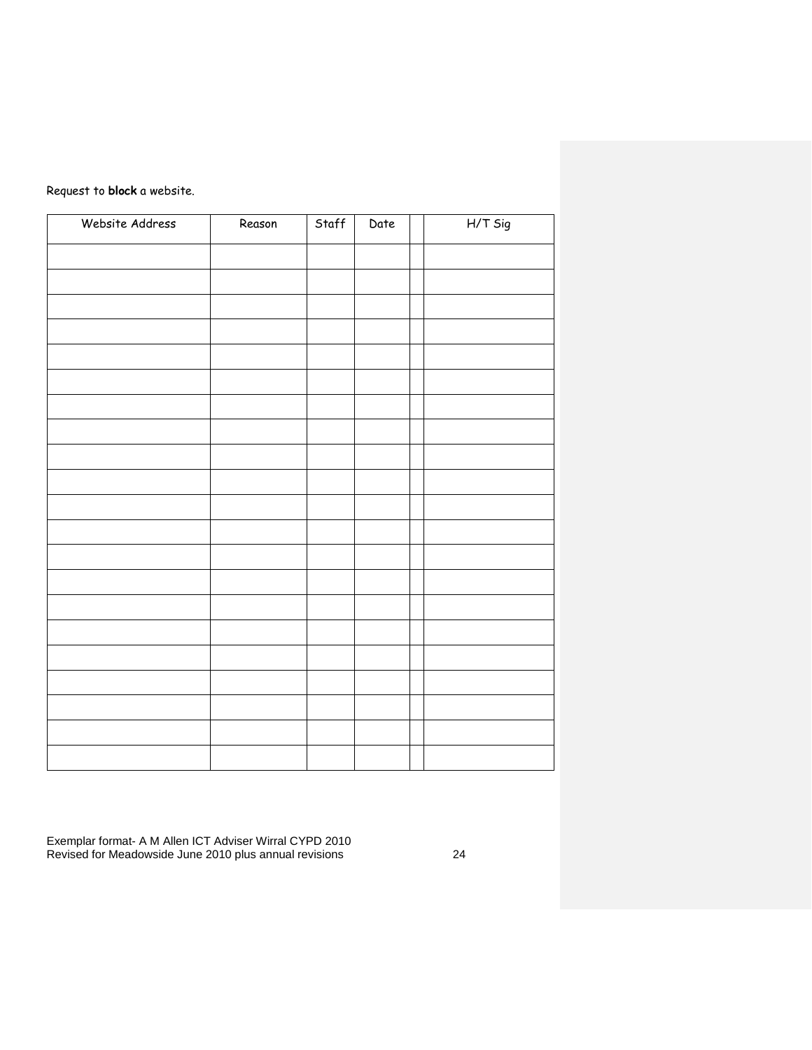#### Request to **block** a website.

| Website Address | Reason | Staff | Date | $H/T$ Sig |
|-----------------|--------|-------|------|-----------|
|                 |        |       |      |           |
|                 |        |       |      |           |
|                 |        |       |      |           |
|                 |        |       |      |           |
|                 |        |       |      |           |
|                 |        |       |      |           |
|                 |        |       |      |           |
|                 |        |       |      |           |
|                 |        |       |      |           |
|                 |        |       |      |           |
|                 |        |       |      |           |
|                 |        |       |      |           |
|                 |        |       |      |           |
|                 |        |       |      |           |
|                 |        |       |      |           |
|                 |        |       |      |           |
|                 |        |       |      |           |
|                 |        |       |      |           |
|                 |        |       |      |           |
|                 |        |       |      |           |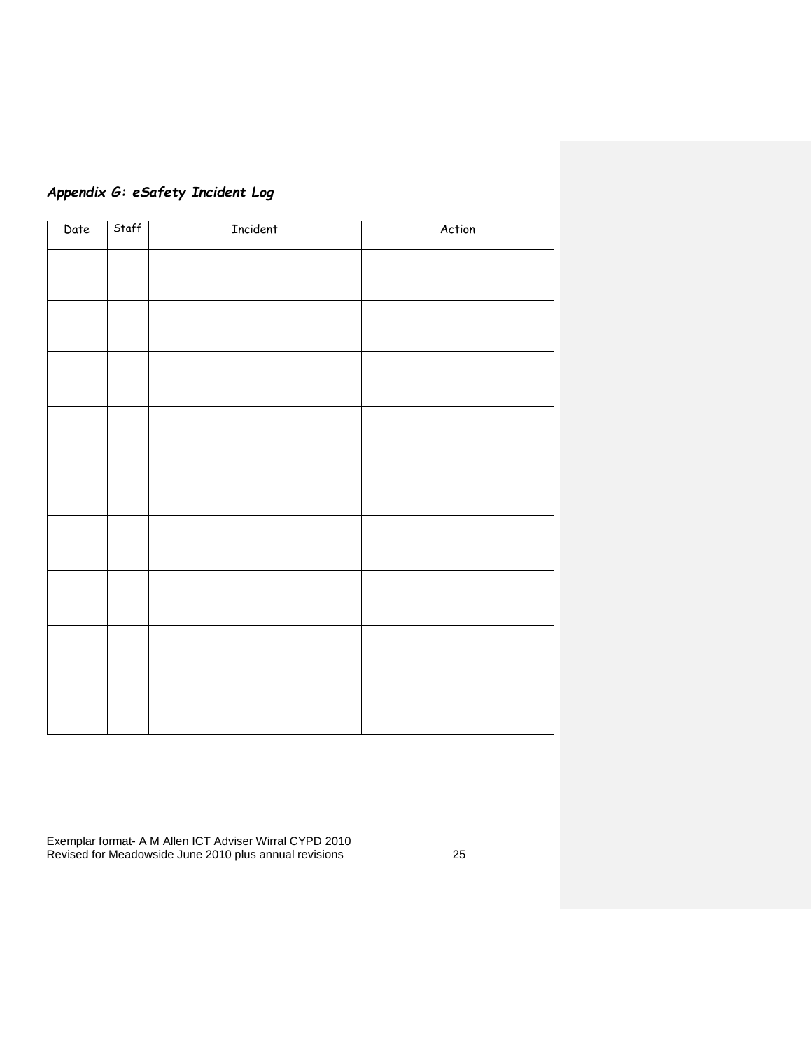| Appendix G: eSafety Incident Log |
|----------------------------------|
|----------------------------------|

| Date | Staff | Incident | Action |
|------|-------|----------|--------|
|      |       |          |        |
|      |       |          |        |
|      |       |          |        |
|      |       |          |        |
|      |       |          |        |
|      |       |          |        |
|      |       |          |        |
|      |       |          |        |
|      |       |          |        |
|      |       |          |        |
|      |       |          |        |
|      |       |          |        |
|      |       |          |        |
|      |       |          |        |
|      |       |          |        |
|      |       |          |        |
|      |       |          |        |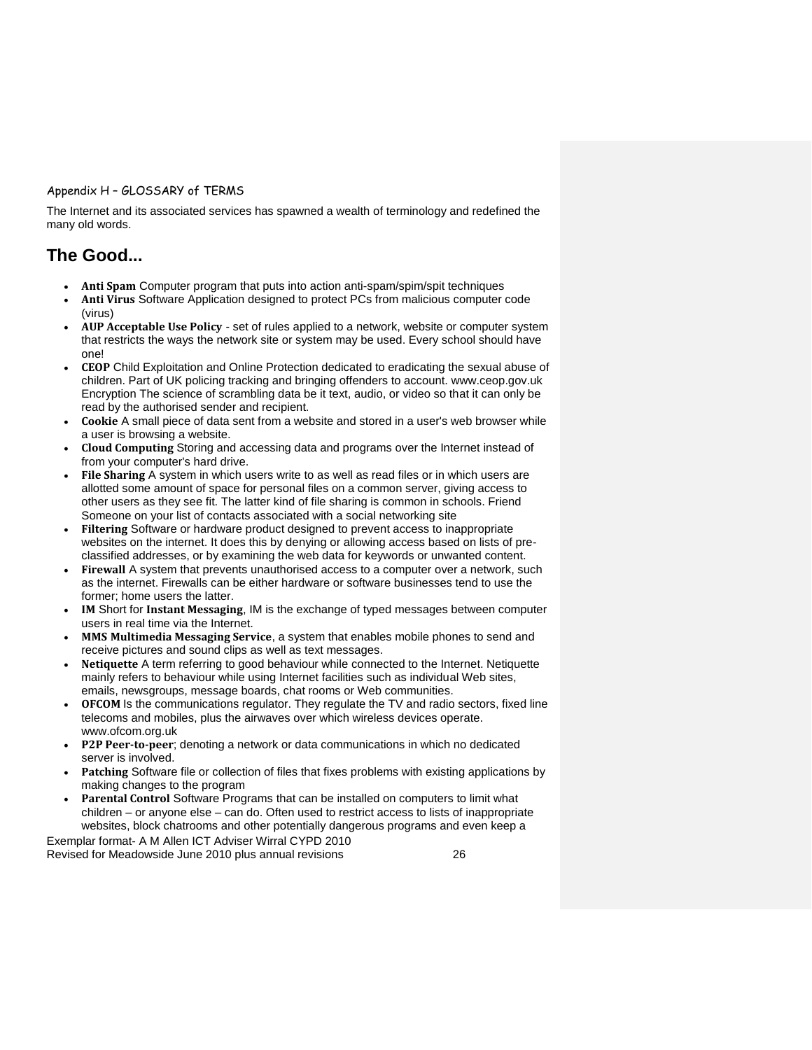#### Appendix H – GLOSSARY of TERMS

The Internet and its associated services has spawned a wealth of terminology and redefined the many old words.

#### **The Good...**

- **Anti Spam** Computer program that puts into action anti-spam/spim/spit techniques
- **Anti Virus** Software Application designed to protect PCs from malicious computer code (virus)
- **AUP Acceptable Use Policy** set of rules applied to a network, website or computer system that restricts the ways the network site or system may be used. Every school should have one!
- **CEOP** Child Exploitation and Online Protection dedicated to eradicating the sexual abuse of children. Part of UK policing tracking and bringing offenders to account. www.ceop.gov.uk Encryption The science of scrambling data be it text, audio, or video so that it can only be read by the authorised sender and recipient.
- **Cookie** A small piece of data sent from a website and stored in a user's web browser while a user is browsing a website.
- **Cloud Computing** Storing and accessing data and programs over the Internet instead of from your computer's hard drive.
- **File Sharing** A system in which users write to as well as read files or in which users are allotted some amount of space for personal files on a common server, giving access to other users as they see fit. The latter kind of file sharing is common in schools. Friend Someone on your list of contacts associated with a social networking site
- **Filtering** Software or hardware product designed to prevent access to inappropriate websites on the internet. It does this by denying or allowing access based on lists of preclassified addresses, or by examining the web data for keywords or unwanted content.
- **Firewall** A system that prevents unauthorised access to a computer over a network, such as the internet. Firewalls can be either hardware or software businesses tend to use the former; home users the latter.
- **IM** Short for **Instant Messaging**, IM is the exchange of typed messages between computer users in real time via the Internet.
- **MMS Multimedia Messaging Service**, a system that enables mobile phones to send and receive pictures and sound clips as well as text messages.
- **Netiquette** A term referring to good behaviour while connected to the Internet. Netiquette mainly refers to behaviour while using Internet facilities such as individual Web sites, emails, newsgroups, message boards, chat rooms or Web communities.
- **OFCOM** Is the communications regulator. They regulate the TV and radio sectors, fixed line telecoms and mobiles, plus the airwaves over which wireless devices operate. www.ofcom.org.uk
- **P2P Peer-to-peer**; denoting a network or data communications in which no dedicated server is involved.
- **Patching** Software file or collection of files that fixes problems with existing applications by making changes to the program
- **Parental Control** Software Programs that can be installed on computers to limit what children – or anyone else – can do. Often used to restrict access to lists of inappropriate websites, block chatrooms and other potentially dangerous programs and even keep a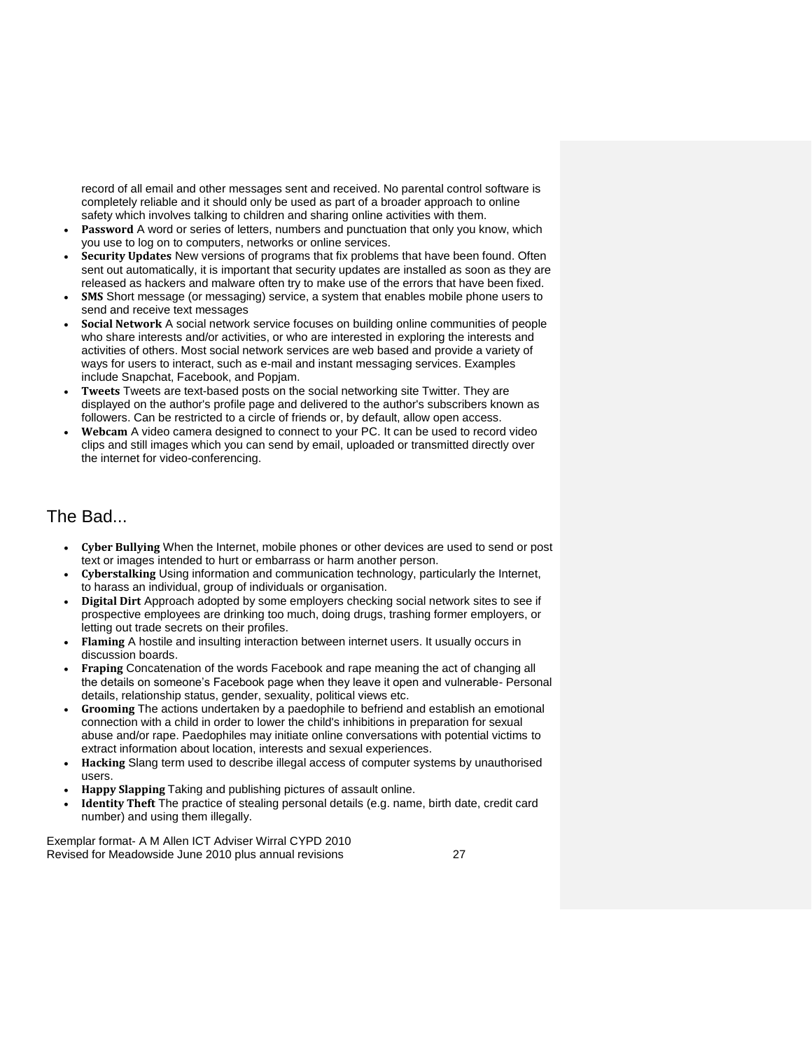record of all email and other messages sent and received. No parental control software is completely reliable and it should only be used as part of a broader approach to online safety which involves talking to children and sharing online activities with them.

- **Password** A word or series of letters, numbers and punctuation that only you know, which you use to log on to computers, networks or online services.
- **Security Updates** New versions of programs that fix problems that have been found. Often sent out automatically, it is important that security updates are installed as soon as they are released as hackers and malware often try to make use of the errors that have been fixed.
- **SMS** Short message (or messaging) service, a system that enables mobile phone users to send and receive text messages
- **Social Network** A social network service focuses on building online communities of people who share interests and/or activities, or who are interested in exploring the interests and activities of others. Most social network services are web based and provide a variety of ways for users to interact, such as e-mail and instant messaging services. Examples include Snapchat, Facebook, and Popjam.
- **Tweets** Tweets are text-based posts on the social networking site Twitter. They are displayed on the author's profile page and delivered to the author's subscribers known as followers. Can be restricted to a circle of friends or, by default, allow open access.
- **Webcam** A video camera designed to connect to your PC. It can be used to record video clips and still images which you can send by email, uploaded or transmitted directly over the internet for video-conferencing.

#### The Bad...

- **Cyber Bullying** When the Internet, mobile phones or other devices are used to send or post text or images intended to hurt or embarrass or harm another person.
- **Cyberstalking** Using information and communication technology, particularly the Internet, to harass an individual, group of individuals or organisation.
- **Digital Dirt** Approach adopted by some employers checking social network sites to see if prospective employees are drinking too much, doing drugs, trashing former employers, or letting out trade secrets on their profiles.
- **Flaming** A hostile and insulting interaction between internet users. It usually occurs in discussion boards.
- **Fraping** Concatenation of the words Facebook and rape meaning the act of changing all the details on someone's Facebook page when they leave it open and vulnerable- Personal details, relationship status, gender, sexuality, political views etc.
- **Grooming** The actions undertaken by a paedophile to befriend and establish an emotional connection with a child in order to lower the child's inhibitions in preparation for sexual abuse and/or rape. Paedophiles may initiate online conversations with potential victims to extract information about location, interests and sexual experiences.
- **Hacking** Slang term used to describe illegal access of computer systems by unauthorised users.
- **Happy Slapping** Taking and publishing pictures of assault online.
- **Identity Theft** The practice of stealing personal details (e.g. name, birth date, credit card number) and using them illegally.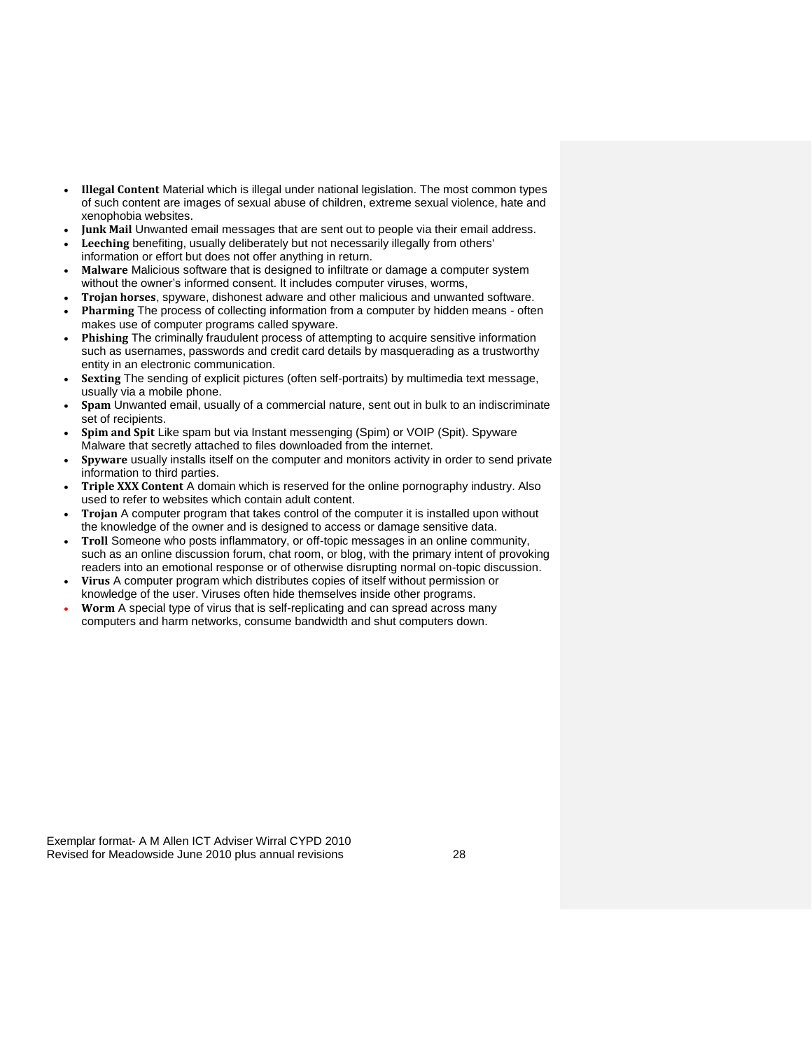- **Illegal Content** Material which is illegal under national legislation. The most common types of such content are images of sexual abuse of children, extreme sexual violence, hate and xenophobia websites.
- **Junk Mail** Unwanted email messages that are sent out to people via their email address.
- **Leeching** benefiting, usually deliberately but not necessarily illegally from others' information or effort but does not offer anything in return.
- **Malware** Malicious software that is designed to infiltrate or damage a computer system without the owner's informed consent. It includes computer viruses, worms,
- **Trojan horses**, spyware, dishonest adware and other malicious and unwanted software.
- **Pharming** The process of collecting information from a computer by hidden means often makes use of computer programs called spyware.
- **Phishing** The criminally fraudulent process of attempting to acquire sensitive information such as usernames, passwords and credit card details by masquerading as a trustworthy entity in an electronic communication.
- **Sexting** The sending of explicit pictures (often self-portraits) by multimedia text message, usually via a mobile phone.
- **Spam** Unwanted email, usually of a commercial nature, sent out in bulk to an indiscriminate set of recipients.
- **Spim and Spit** Like spam but via Instant messenging (Spim) or VOIP (Spit). Spyware Malware that secretly attached to files downloaded from the internet.
- **Spyware** usually installs itself on the computer and monitors activity in order to send private information to third parties.
- **Triple XXX Content** A domain which is reserved for the online pornography industry. Also used to refer to websites which contain adult content.
- **Trojan** A computer program that takes control of the computer it is installed upon without the knowledge of the owner and is designed to access or damage sensitive data.
- **Troll** Someone who posts inflammatory, or off-topic messages in an online community, such as an online discussion forum, chat room, or blog, with the primary intent of provoking readers into an emotional response or of otherwise disrupting normal on-topic discussion.
- **Virus** A computer program which distributes copies of itself without permission or knowledge of the user. Viruses often hide themselves inside other programs.
- **Worm** A special type of virus that is self-replicating and can spread across many computers and harm networks, consume bandwidth and shut computers down.